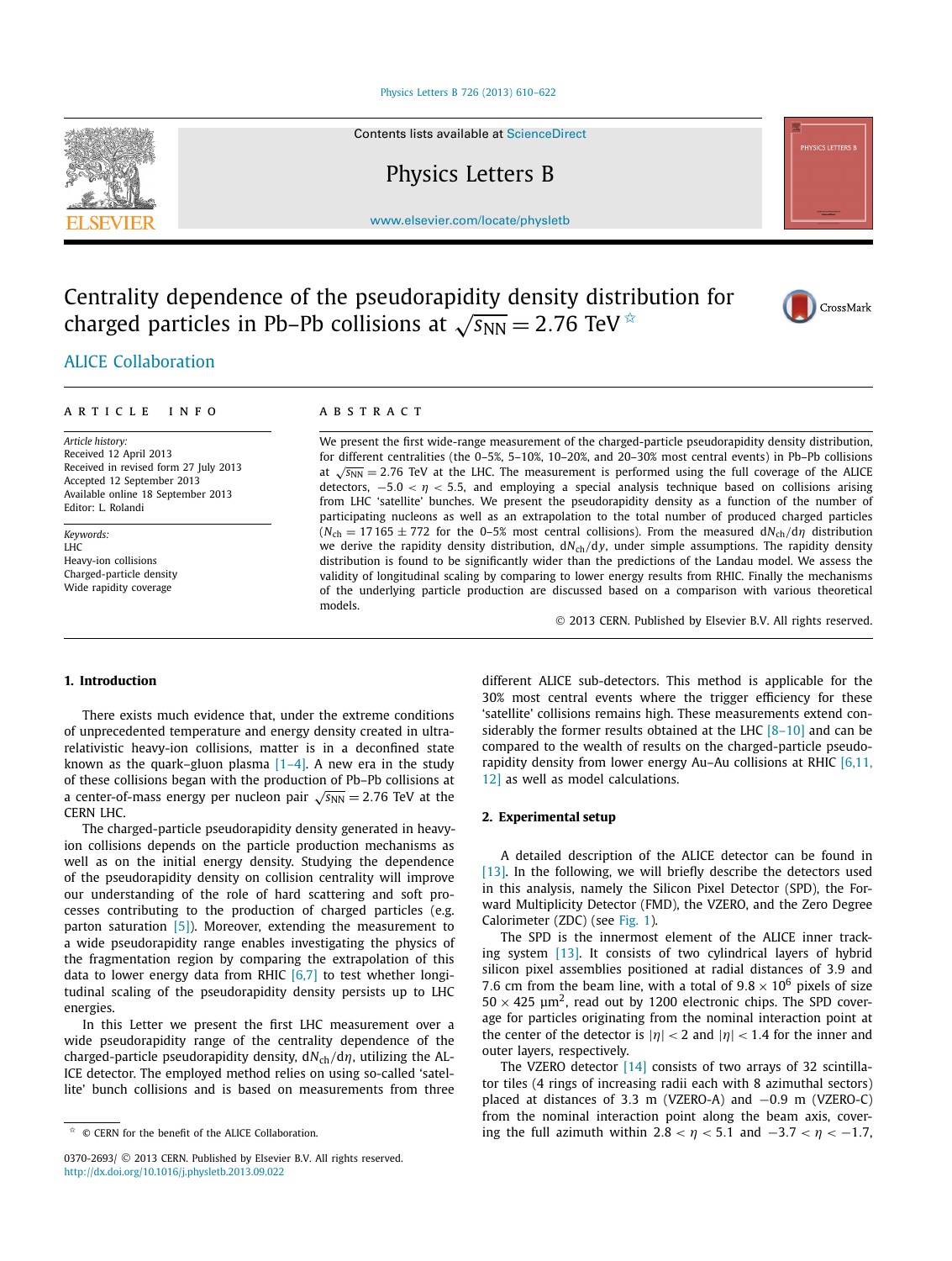#### [Physics Letters B 726 \(2013\) 610–622](http://dx.doi.org/10.1016/j.physletb.2013.09.022)

Contents lists available at [ScienceDirect](http://www.ScienceDirect.com/)

Physics Letters B

[www.elsevier.com/locate/physletb](http://www.elsevier.com/locate/physletb)



# Centrality dependence of the pseudorapidity density distribution for charged particles in Pb–Pb collisions at  $\sqrt{s_{NN}} = 2.76$  TeV  $\overline{a}$



## [.ALICE Collaboration](#page-7-0)

#### article info abstract

*Article history:* Received 12 April 2013 Received in revised form 27 July 2013 Accepted 12 September 2013 Available online 18 September 2013 Editor: L. Rolandi

*Keywords:* LHC Heavy-ion collisions Charged-particle density Wide rapidity coverage

We present the first wide-range measurement of the charged-particle pseudorapidity density distribution, for different centralities (the 0–5%, 5–10%, 10–20%, and 20–30% most central events) in Pb–Pb collisions at  $\sqrt{s_{NN}}$  = 2.76 TeV at the LHC. The measurement is performed using the full coverage of the ALICE detectors,  $-5.0 < \eta < 5.5$ , and employing a special analysis technique based on collisions arising from LHC 'satellite' bunches. We present the pseudorapidity density as a function of the number of participating nucleons as well as an extrapolation to the total number of produced charged particles  $(N_{ch} = 17165 \pm 772$  for the 0–5% most central collisions). From the measured  $dN_{ch}/d\eta$  distribution we derive the rapidity density distribution, d*N*ch*/*d*y*, under simple assumptions. The rapidity density distribution is found to be significantly wider than the predictions of the Landau model. We assess the validity of longitudinal scaling by comparing to lower energy results from RHIC. Finally the mechanisms of the underlying particle production are discussed based on a comparison with various theoretical models.

© 2013 CERN. Published by Elsevier B.V. All rights reserved.

#### **1. Introduction**

There exists much evidence that, under the extreme conditions of unprecedented temperature and energy density created in ultrarelativistic heavy-ion collisions, matter is in a deconfined state known as the quark–gluon plasma  $[1-4]$ . A new era in the study of these collisions began with the production of Pb–Pb collisions at a center-of-mass energy per nucleon pair  $\sqrt{s_{NN}}$  = 2.76 TeV at the CERN LHC.

The charged-particle pseudorapidity density generated in heavyion collisions depends on the particle production mechanisms as well as on the initial energy density. Studying the dependence of the pseudorapidity density on collision centrality will improve our understanding of the role of hard scattering and soft processes contributing to the production of charged particles (e.g. parton saturation  $\boxed{5}$ ). Moreover, extending the measurement to a wide pseudorapidity range enables investigating the physics of the fragmentation region by comparing the extrapolation of this data to lower energy data from RHIC  $[6,7]$  to test whether longitudinal scaling of the pseudorapidity density persists up to LHC energies.

In this Letter we present the first LHC measurement over a wide pseudorapidity range of the centrality dependence of the charged-particle pseudorapidity density, d*N*ch*/*d*η*, utilizing the AL-ICE detector. The employed method relies on using so-called 'satellite' bunch collisions and is based on measurements from three

different ALICE sub-detectors. This method is applicable for the 30% most central events where the trigger efficiency for these 'satellite' collisions remains high. These measurements extend considerably the former results obtained at the LHC  $[8-10]$  and can be compared to the wealth of results on the charged-particle pseudorapidity density from lower energy Au–Au collisions at RHIC  $[6,11]$ , [12\]](#page-6-0) as well as model calculations.

#### **2. Experimental setup**

A detailed description of the ALICE detector can be found in [\[13\].](#page-6-0) In the following, we will briefly describe the detectors used in this analysis, namely the Silicon Pixel Detector (SPD), the Forward Multiplicity Detector (FMD), the VZERO, and the Zero Degree Calorimeter (ZDC) (see [Fig. 1\)](#page-1-0).

The SPD is the innermost element of the ALICE inner tracking system [\[13\].](#page-6-0) It consists of two cylindrical layers of hybrid silicon pixel assemblies positioned at radial distances of 3*.*9 and 7.6 cm from the beam line, with a total of  $9.8 \times 10^6$  pixels of size  $50 \times 425$   $\mu$ m<sup>2</sup>, read out by 1200 electronic chips. The SPD coverage for particles originating from the nominal interaction point at the center of the detector is  $|\eta| < 2$  and  $|\eta| < 1.4$  for the inner and outer layers, respectively.

The VZERO detector [\[14\]](#page-6-0) consists of two arrays of 32 scintillator tiles (4 rings of increasing radii each with 8 azimuthal sectors) placed at distances of 3*.*3 m (VZERO-A) and −0*.*9 m (VZERO-C) from the nominal interaction point along the beam axis, covering the full azimuth within  $2.8 < \eta < 5.1$  and  $-3.7 < \eta < -1.7$ ,

 $\hat{P}$  © CERN for the benefit of the ALICE Collaboration.

<sup>0370-2693/</sup> © 2013 CERN. Published by Elsevier B.V. All rights reserved. <http://dx.doi.org/10.1016/j.physletb.2013.09.022>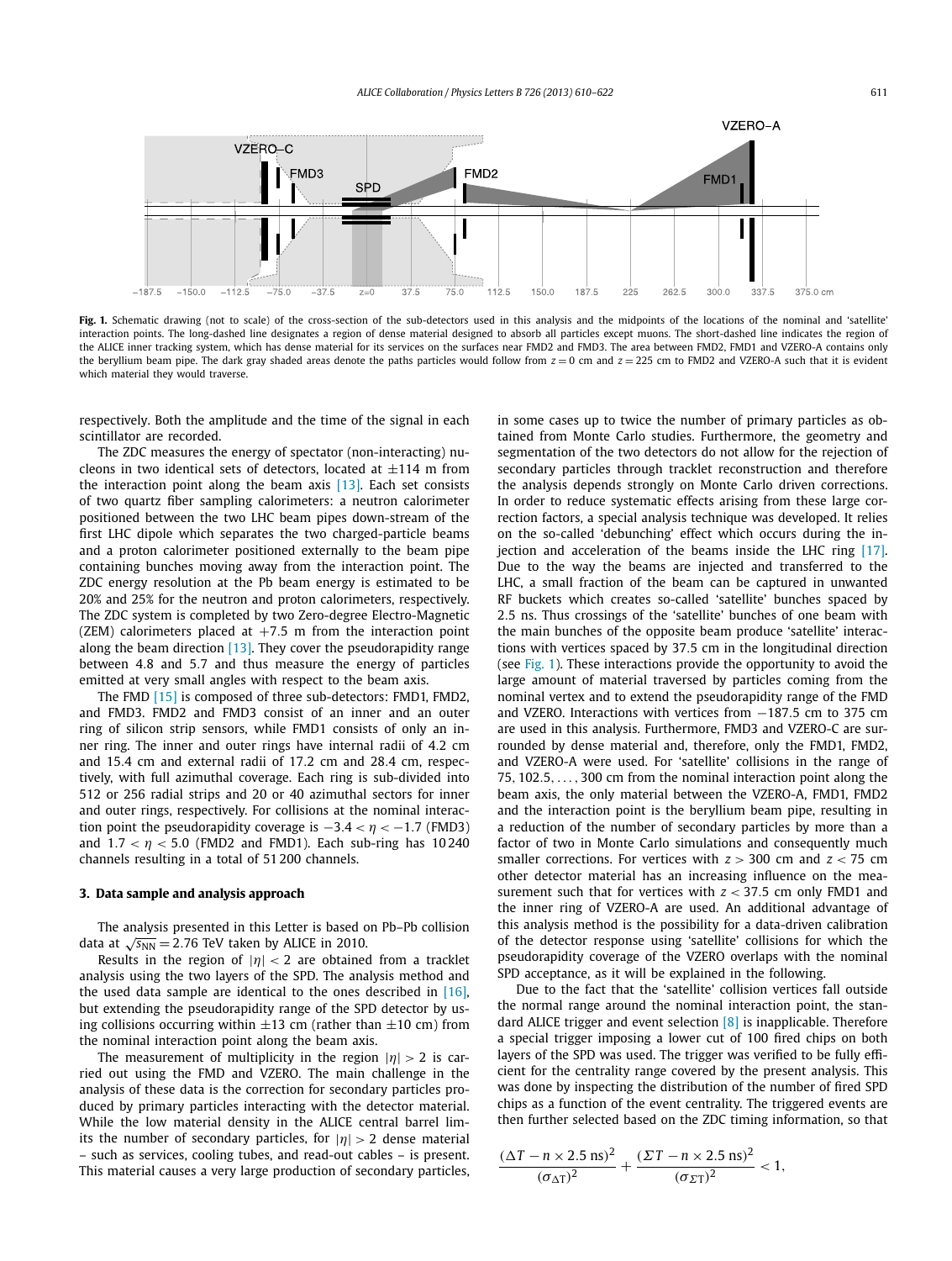<span id="page-1-0"></span>

Fig. 1. Schematic drawing (not to scale) of the cross-section of the sub-detectors used in this analysis and the midpoints of the locations of the nominal and 'satellite' interaction points. The long-dashed line designates a region of dense material designed to absorb all particles except muons. The short-dashed line indicates the region of the ALICE inner tracking system, which has dense material for its services on the surfaces near FMD2 and FMD3. The area between FMD2, FMD1 and VZERO-A contains only the beryllium beam pipe. The dark gray shaded areas denote the paths particles would follow from  $z = 0$  cm and  $z = 225$  cm to FMD2 and VZERO-A such that it is evident which material they would traverse.

respectively. Both the amplitude and the time of the signal in each scintillator are recorded.

The ZDC measures the energy of spectator (non-interacting) nucleons in two identical sets of detectors, located at  $\pm$ 114 m from the interaction point along the beam axis [\[13\].](#page-6-0) Each set consists of two quartz fiber sampling calorimeters: a neutron calorimeter positioned between the two LHC beam pipes down-stream of the first LHC dipole which separates the two charged-particle beams and a proton calorimeter positioned externally to the beam pipe containing bunches moving away from the interaction point. The ZDC energy resolution at the Pb beam energy is estimated to be 20% and 25% for the neutron and proton calorimeters, respectively. The ZDC system is completed by two Zero-degree Electro-Magnetic (ZEM) calorimeters placed at  $+7.5$  m from the interaction point along the beam direction  $[13]$ . They cover the pseudorapidity range between 4*.*8 and 5*.*7 and thus measure the energy of particles emitted at very small angles with respect to the beam axis.

The FMD [\[15\]](#page-6-0) is composed of three sub-detectors: FMD1, FMD2, and FMD3. FMD2 and FMD3 consist of an inner and an outer ring of silicon strip sensors, while FMD1 consists of only an inner ring. The inner and outer rings have internal radii of 4*.*2 cm and 15*.*4 cm and external radii of 17*.*2 cm and 28*.*4 cm, respectively, with full azimuthal coverage. Each ring is sub-divided into 512 or 256 radial strips and 20 or 40 azimuthal sectors for inner and outer rings, respectively. For collisions at the nominal interaction point the pseudorapidity coverage is  $-3.4 < \eta < -1.7$  (FMD3) and 1*.*7 *< η <* 5*.*0 (FMD2 and FMD1). Each sub-ring has 10 240 channels resulting in a total of 51 200 channels.

#### **3. Data sample and analysis approach**

The analysis presented in this Letter is based on Pb–Pb collision data at  $\sqrt{s_{NN}}$  = 2.76 TeV taken by ALICE in 2010.

Results in the region of  $|\eta| < 2$  are obtained from a tracklet analysis using the two layers of the SPD. The analysis method and the used data sample are identical to the ones described in [\[16\],](#page-6-0) but extending the pseudorapidity range of the SPD detector by using collisions occurring within  $\pm 13$  cm (rather than  $\pm 10$  cm) from the nominal interaction point along the beam axis.

The measurement of multiplicity in the region  $|\eta| > 2$  is carried out using the FMD and VZERO. The main challenge in the analysis of these data is the correction for secondary particles produced by primary particles interacting with the detector material. While the low material density in the ALICE central barrel limits the number of secondary particles, for  $|\eta| > 2$  dense material – such as services, cooling tubes, and read-out cables – is present. This material causes a very large production of secondary particles, in some cases up to twice the number of primary particles as obtained from Monte Carlo studies. Furthermore, the geometry and segmentation of the two detectors do not allow for the rejection of secondary particles through tracklet reconstruction and therefore the analysis depends strongly on Monte Carlo driven corrections. In order to reduce systematic effects arising from these large correction factors, a special analysis technique was developed. It relies on the so-called 'debunching' effect which occurs during the injection and acceleration of the beams inside the LHC ring [\[17\].](#page-6-0) Due to the way the beams are injected and transferred to the LHC, a small fraction of the beam can be captured in unwanted RF buckets which creates so-called 'satellite' bunches spaced by 2*.*5 ns. Thus crossings of the 'satellite' bunches of one beam with the main bunches of the opposite beam produce 'satellite' interactions with vertices spaced by 37*.*5 cm in the longitudinal direction (see Fig. 1). These interactions provide the opportunity to avoid the large amount of material traversed by particles coming from the nominal vertex and to extend the pseudorapidity range of the FMD and VZERO. Interactions with vertices from −187*.*5 cm to 375 cm are used in this analysis. Furthermore, FMD3 and VZERO-C are surrounded by dense material and, therefore, only the FMD1, FMD2, and VZERO-A were used. For 'satellite' collisions in the range of 75*,* 102*.*5*,...,* 300 cm from the nominal interaction point along the beam axis, the only material between the VZERO-A, FMD1, FMD2 and the interaction point is the beryllium beam pipe, resulting in a reduction of the number of secondary particles by more than a factor of two in Monte Carlo simulations and consequently much smaller corrections. For vertices with  $z > 300$  cm and  $z < 75$  cm other detector material has an increasing influence on the measurement such that for vertices with *z <* 37*.*5 cm only FMD1 and the inner ring of VZERO-A are used. An additional advantage of this analysis method is the possibility for a data-driven calibration of the detector response using 'satellite' collisions for which the pseudorapidity coverage of the VZERO overlaps with the nominal SPD acceptance, as it will be explained in the following.

Due to the fact that the 'satellite' collision vertices fall outside the normal range around the nominal interaction point, the standard ALICE trigger and event selection  $[8]$  is inapplicable. Therefore a special trigger imposing a lower cut of 100 fired chips on both layers of the SPD was used. The trigger was verified to be fully efficient for the centrality range covered by the present analysis. This was done by inspecting the distribution of the number of fired SPD chips as a function of the event centrality. The triggered events are then further selected based on the ZDC timing information, so that

$$
\frac{(\Delta T - n \times 2.5 \text{ ns})^2}{(\sigma_{\Delta T})^2} + \frac{(\Sigma T - n \times 2.5 \text{ ns})^2}{(\sigma_{\Sigma T})^2} < 1,
$$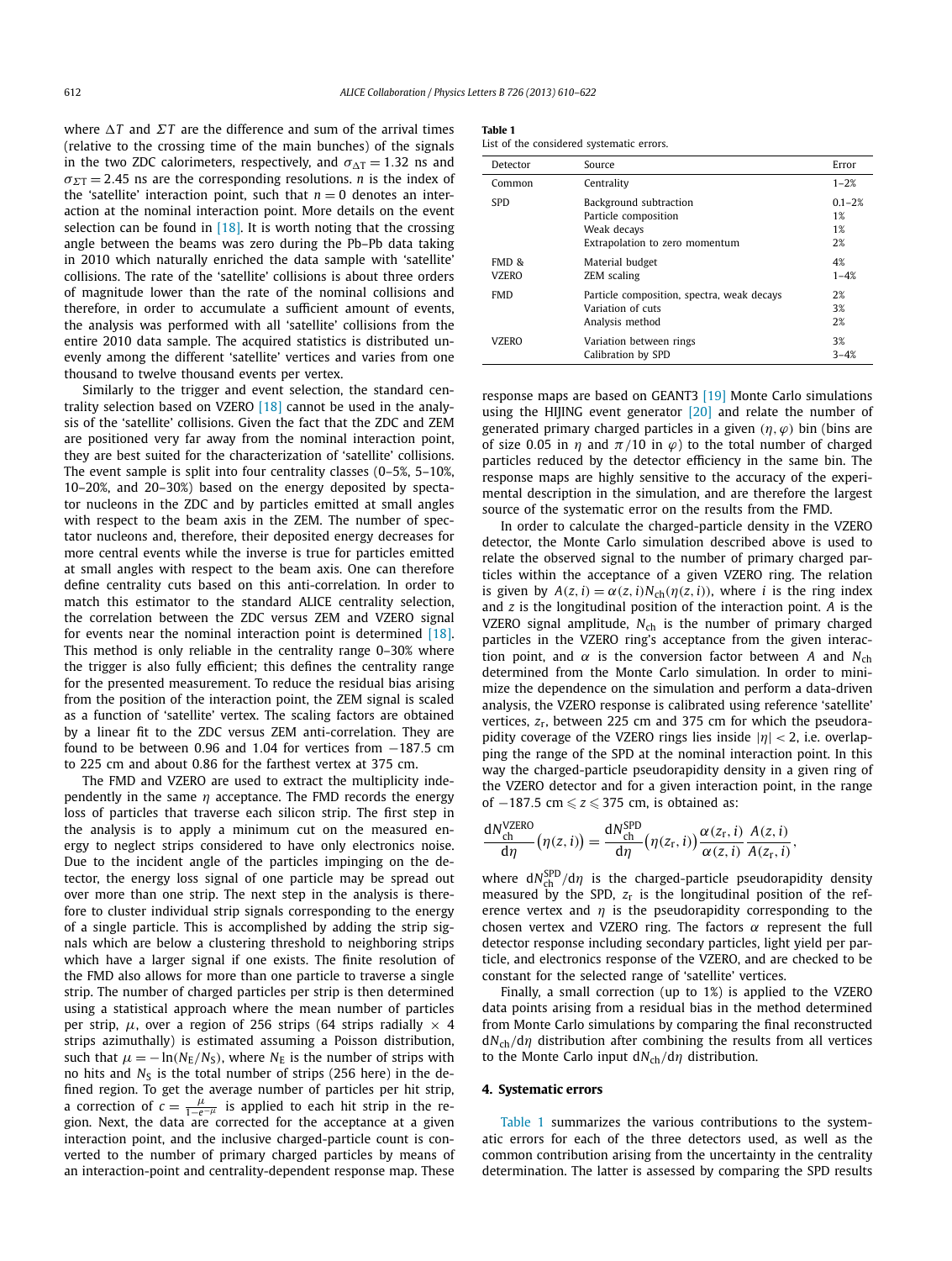<span id="page-2-0"></span>where  $\Delta T$  and  $\Sigma T$  are the difference and sum of the arrival times (relative to the crossing time of the main bunches) of the signals in the two ZDC calorimeters, respectively, and  $\sigma_{\Delta T} = 1.32$  ns and *σΣ*<sup>T</sup> = <sup>2</sup>*.*45 ns are the corresponding resolutions. *<sup>n</sup>* is the index of the 'satellite' interaction point, such that  $n = 0$  denotes an interaction at the nominal interaction point. More details on the event selection can be found in  $[18]$ . It is worth noting that the crossing angle between the beams was zero during the Pb–Pb data taking in 2010 which naturally enriched the data sample with 'satellite' collisions. The rate of the 'satellite' collisions is about three orders of magnitude lower than the rate of the nominal collisions and therefore, in order to accumulate a sufficient amount of events, the analysis was performed with all 'satellite' collisions from the entire 2010 data sample. The acquired statistics is distributed unevenly among the different 'satellite' vertices and varies from one thousand to twelve thousand events per vertex.

Similarly to the trigger and event selection, the standard centrality selection based on VZERO [\[18\]](#page-6-0) cannot be used in the analysis of the 'satellite' collisions. Given the fact that the ZDC and ZEM are positioned very far away from the nominal interaction point, they are best suited for the characterization of 'satellite' collisions. The event sample is split into four centrality classes (0–5%, 5–10%, 10–20%, and 20–30%) based on the energy deposited by spectator nucleons in the ZDC and by particles emitted at small angles with respect to the beam axis in the ZEM. The number of spectator nucleons and, therefore, their deposited energy decreases for more central events while the inverse is true for particles emitted at small angles with respect to the beam axis. One can therefore define centrality cuts based on this anti-correlation. In order to match this estimator to the standard ALICE centrality selection, the correlation between the ZDC versus ZEM and VZERO signal for events near the nominal interaction point is determined [\[18\].](#page-6-0) This method is only reliable in the centrality range 0–30% where the trigger is also fully efficient; this defines the centrality range for the presented measurement. To reduce the residual bias arising from the position of the interaction point, the ZEM signal is scaled as a function of 'satellite' vertex. The scaling factors are obtained by a linear fit to the ZDC versus ZEM anti-correlation. They are found to be between 0*.*96 and 1*.*04 for vertices from −187*.*5 cm to 225 cm and about 0*.*86 for the farthest vertex at 375 cm.

The FMD and VZERO are used to extract the multiplicity independently in the same *η* acceptance. The FMD records the energy loss of particles that traverse each silicon strip. The first step in the analysis is to apply a minimum cut on the measured energy to neglect strips considered to have only electronics noise. Due to the incident angle of the particles impinging on the detector, the energy loss signal of one particle may be spread out over more than one strip. The next step in the analysis is therefore to cluster individual strip signals corresponding to the energy of a single particle. This is accomplished by adding the strip signals which are below a clustering threshold to neighboring strips which have a larger signal if one exists. The finite resolution of the FMD also allows for more than one particle to traverse a single strip. The number of charged particles per strip is then determined using a statistical approach where the mean number of particles per strip,  $\mu$ , over a region of 256 strips (64 strips radially  $\times$  4 strips azimuthally) is estimated assuming a Poisson distribution, such that  $\mu = -\ln(N_E/N_S)$ , where  $N_E$  is the number of strips with no hits and  $N<sub>S</sub>$  is the total number of strips (256 here) in the defined region. To get the average number of particles per hit strip,<br>a correction of  $c = \frac{\mu}{1-e^{-\mu}}$  is applied to each hit strip in the re-<br>*zion* Naut the data corrected for the essentiance at a given gion. Next, the data are corrected for the acceptance at a given interaction point, and the inclusive charged-particle count is converted to the number of primary charged particles by means of an interaction-point and centrality-dependent response map. These

#### **Table 1**

|  |  |  | List of the considered systematic errors. |  |
|--|--|--|-------------------------------------------|--|
|--|--|--|-------------------------------------------|--|

| Detector              | Source                                                                                          | Error                        |
|-----------------------|-------------------------------------------------------------------------------------------------|------------------------------|
| Common                | Centrality                                                                                      | $1 - 2%$                     |
| <b>SPD</b>            | Background subtraction<br>Particle composition<br>Weak decays<br>Extrapolation to zero momentum | $0.1 - 2%$<br>1%<br>1%<br>2% |
| FMD &<br><b>VZERO</b> | Material budget<br><b>ZEM</b> scaling                                                           | 4%<br>$1 - 4%$               |
| <b>FMD</b>            | Particle composition, spectra, weak decays<br>Variation of cuts<br>Analysis method              | 2%<br>3%<br>2%               |
| <b>VZERO</b>          | Variation between rings<br>Calibration by SPD                                                   | 3%<br>$3 - 4%$               |

response maps are based on GEANT3 [\[19\]](#page-6-0) Monte Carlo simulations using the HIJING event generator [\[20\]](#page-6-0) and relate the number of generated primary charged particles in a given *(η,ϕ)* bin (bins are of size 0.05 in  $\eta$  and  $\pi/10$  in  $\varphi$ ) to the total number of charged particles reduced by the detector efficiency in the same bin. The response maps are highly sensitive to the accuracy of the experimental description in the simulation, and are therefore the largest source of the systematic error on the results from the FMD.

In order to calculate the charged-particle density in the VZERO detector, the Monte Carlo simulation described above is used to relate the observed signal to the number of primary charged particles within the acceptance of a given VZERO ring. The relation is given by  $A(z, i) = \alpha(z, i)N_{\text{ch}}(\eta(z, i))$ , where *i* is the ring index and *z* is the longitudinal position of the interaction point. *A* is the VZERO signal amplitude, N<sub>ch</sub> is the number of primary charged particles in the VZERO ring's acceptance from the given interaction point, and  $\alpha$  is the conversion factor between *A* and  $N_{\text{ch}}$ determined from the Monte Carlo simulation. In order to minimize the dependence on the simulation and perform a data-driven analysis, the VZERO response is calibrated using reference 'satellite' vertices, *z*r, between 225 cm and 375 cm for which the pseudorapidity coverage of the VZERO rings lies inside |*η*| *<* 2, i.e. overlapping the range of the SPD at the nominal interaction point. In this way the charged-particle pseudorapidity density in a given ring of the VZERO detector and for a given interaction point, in the range of  $-187.5$  cm  $\le$  z  $\le$  375 cm, is obtained as:

$$
\frac{dN_{\rm ch}^{\rm VZERO}}{d\eta}(\eta(z,i)) = \frac{dN_{\rm ch}^{\rm SPD}}{d\eta}(\eta(z_{\rm r},i)) \frac{\alpha(z_{\rm r},i)}{\alpha(z,i)} \frac{A(z,i)}{A(z_{\rm r},i)},
$$

where  $dN_{ch}^{SPD}/d\eta$  is the charged-particle pseudorapidity density measured by the SPD,  $z_r$  is the longitudinal position of the reference vertex and  $\eta$  is the pseudorapidity corresponding to the chosen vertex and VZERO ring. The factors *α* represent the full detector response including secondary particles, light yield per particle, and electronics response of the VZERO, and are checked to be constant for the selected range of 'satellite' vertices.

Finally, a small correction (up to 1%) is applied to the VZERO data points arising from a residual bias in the method determined from Monte Carlo simulations by comparing the final reconstructed d*N*ch*/*d*η* distribution after combining the results from all vertices to the Monte Carlo input  $dN<sub>ch</sub>/dη$  distribution.

#### **4. Systematic errors**

Table 1 summarizes the various contributions to the systematic errors for each of the three detectors used, as well as the common contribution arising from the uncertainty in the centrality determination. The latter is assessed by comparing the SPD results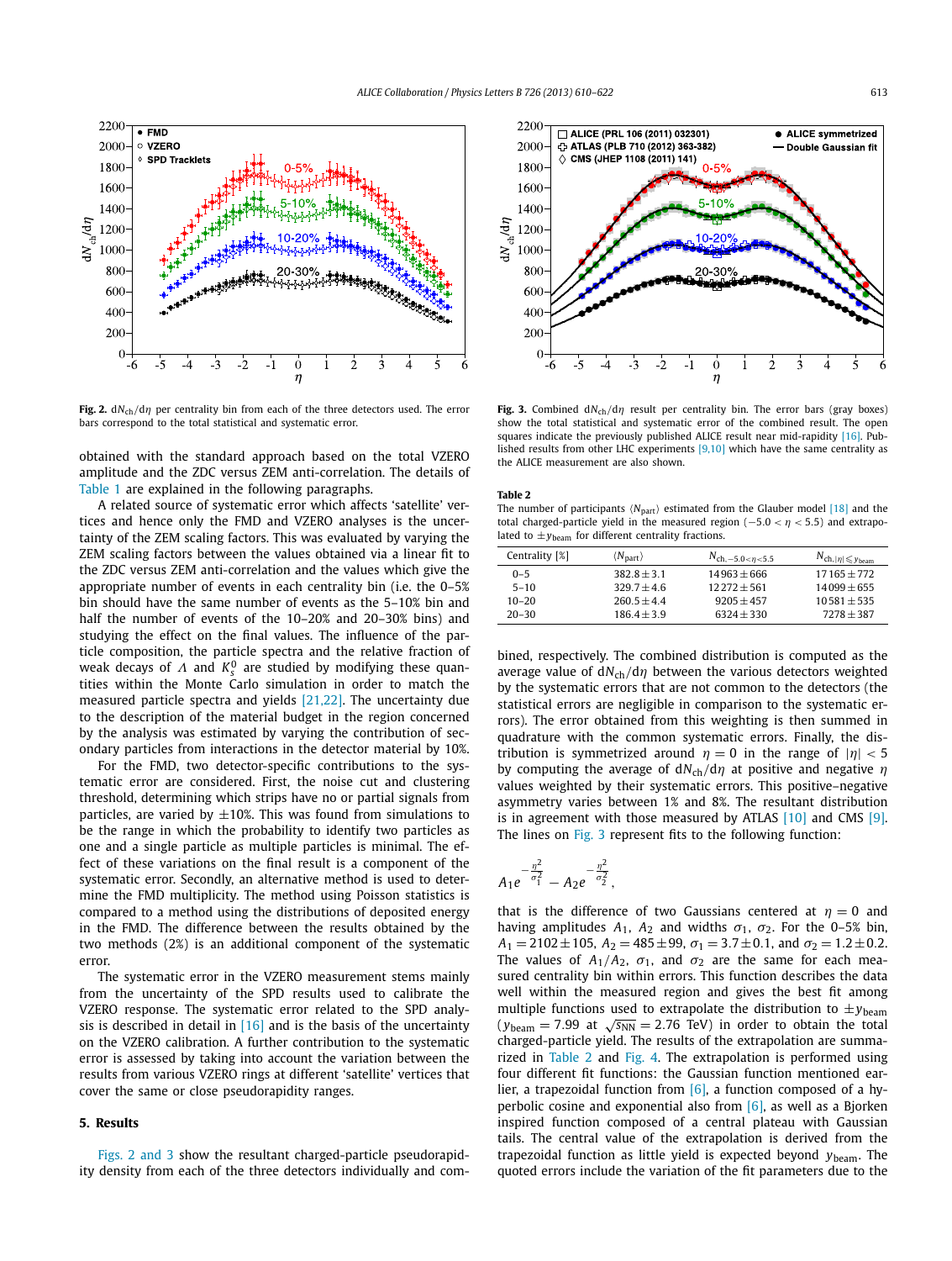

**Fig. 2.** d*N*ch*/*d*η* per centrality bin from each of the three detectors used. The error bars correspond to the total statistical and systematic error.

obtained with the standard approach based on the total VZERO amplitude and the ZDC versus ZEM anti-correlation. The details of [Table 1](#page-2-0) are explained in the following paragraphs.

A related source of systematic error which affects 'satellite' vertices and hence only the FMD and VZERO analyses is the uncertainty of the ZEM scaling factors. This was evaluated by varying the ZEM scaling factors between the values obtained via a linear fit to the ZDC versus ZEM anti-correlation and the values which give the appropriate number of events in each centrality bin (i.e. the 0–5% bin should have the same number of events as the 5–10% bin and half the number of events of the 10–20% and 20–30% bins) and studying the effect on the final values. The influence of the particle composition, the particle spectra and the relative fraction of weak decays of  $\Lambda$  and  $K_s^0$  are studied by modifying these quantities within the Monte Carlo simulation in order to match the measured particle spectra and yields [\[21,22\].](#page-6-0) The uncertainty due to the description of the material budget in the region concerned by the analysis was estimated by varying the contribution of secondary particles from interactions in the detector material by 10%.

For the FMD, two detector-specific contributions to the systematic error are considered. First, the noise cut and clustering threshold, determining which strips have no or partial signals from particles, are varied by  $\pm 10\%$ . This was found from simulations to be the range in which the probability to identify two particles as one and a single particle as multiple particles is minimal. The effect of these variations on the final result is a component of the systematic error. Secondly, an alternative method is used to determine the FMD multiplicity. The method using Poisson statistics is compared to a method using the distributions of deposited energy in the FMD. The difference between the results obtained by the two methods (2%) is an additional component of the systematic error.

The systematic error in the VZERO measurement stems mainly from the uncertainty of the SPD results used to calibrate the VZERO response. The systematic error related to the SPD analysis is described in detail in  $[16]$  and is the basis of the uncertainty on the VZERO calibration. A further contribution to the systematic error is assessed by taking into account the variation between the results from various VZERO rings at different 'satellite' vertices that cover the same or close pseudorapidity ranges.

#### **5. Results**

Figs. 2 and 3 show the resultant charged-particle pseudorapidity density from each of the three detectors individually and com-



**Fig. 3.** Combined d*N*ch*/*d*η* result per centrality bin. The error bars (gray boxes) show the total statistical and systematic error of the combined result. The open squares indicate the previously published ALICE result near mid-rapidity [\[16\].](#page-6-0) Published results from other LHC experiments [\[9,10\]](#page-6-0) which have the same centrality as the ALICE measurement are also shown.

#### **Table 2**

The number of participants  $\langle N_{\text{part}} \rangle$  estimated from the Glauber model [\[18\]](#page-6-0) and the total charged-particle yield in the measured region (−5*.*<sup>0</sup> *< η <* <sup>5</sup>*.*5) and extrapolated to  $\pm y_{\text{beam}}$  for different centrality fractions.

| Centrality [%] | $\langle N_{\rm part} \rangle$ | $N_{\rm ch, -5.0 < \eta < 5.5}$ | $N_{\mathrm{ch}, \eta  \leqslant y_{\mathrm{beam}}}$ |
|----------------|--------------------------------|---------------------------------|------------------------------------------------------|
| $0 - 5$        | $3828 + 31$                    | $14963 + 666$                   | $17165 + 772$                                        |
| $5 - 10$       | $329.7 + 4.6$                  | $12.272 + 561$                  | $14099 + 655$                                        |
| $10 - 20$      | $2605 + 44$                    | $9205 + 457$                    | $10.581 + 535$                                       |
| $20 - 30$      | $1864 + 39$                    | $6324 + 330$                    | $7278 + 387$                                         |

bined, respectively. The combined distribution is computed as the average value of  $dN_{ch}/d\eta$  between the various detectors weighted by the systematic errors that are not common to the detectors (the statistical errors are negligible in comparison to the systematic errors). The error obtained from this weighting is then summed in quadrature with the common systematic errors. Finally, the distribution is symmetrized around  $\eta = 0$  in the range of  $|\eta| < 5$ by computing the average of d*N*ch*/*d*η* at positive and negative *η* values weighted by their systematic errors. This positive–negative asymmetry varies between 1% and 8%. The resultant distribution is in agreement with those measured by ATLAS [\[10\]](#page-6-0) and CMS [\[9\].](#page-6-0) The lines on Fig. 3 represent fits to the following function:

$$
A_1e^{-\frac{\eta^2}{\sigma_1^2}}-A_2e^{-\frac{\eta^2}{\sigma_2^2}},
$$

that is the difference of two Gaussians centered at  $\eta = 0$  and having amplitudes  $A_1$ ,  $A_2$  and widths  $\sigma_1$ ,  $\sigma_2$ . For the 0-5% bin,  $A_1 = 2102 \pm 105$ ,  $A_2 = 485 \pm 99$ ,  $\sigma_1 = 3.7 \pm 0.1$ , and  $\sigma_2 = 1.2 \pm 0.2$ . The values of  $A_1/A_2$ ,  $\sigma_1$ , and  $\sigma_2$  are the same for each measured centrality bin within errors. This function describes the data well within the measured region and gives the best fit among multiple functions used to extrapolate the distribution to  $\pm y_{\text{beam}}$  $(y_{\text{beam}} = 7.99$  at  $\sqrt{s_{\text{NN}}} = 2.76$  TeV) in order to obtain the total charged-particle yield. The results of the extrapolation are summarized in Table 2 and [Fig. 4.](#page-4-0) The extrapolation is performed using four different fit functions: the Gaussian function mentioned earlier, a trapezoidal function from  $[6]$ , a function composed of a hyperbolic cosine and exponential also from  $[6]$ , as well as a Bjorken inspired function composed of a central plateau with Gaussian tails. The central value of the extrapolation is derived from the trapezoidal function as little yield is expected beyond *y*beam. The quoted errors include the variation of the fit parameters due to the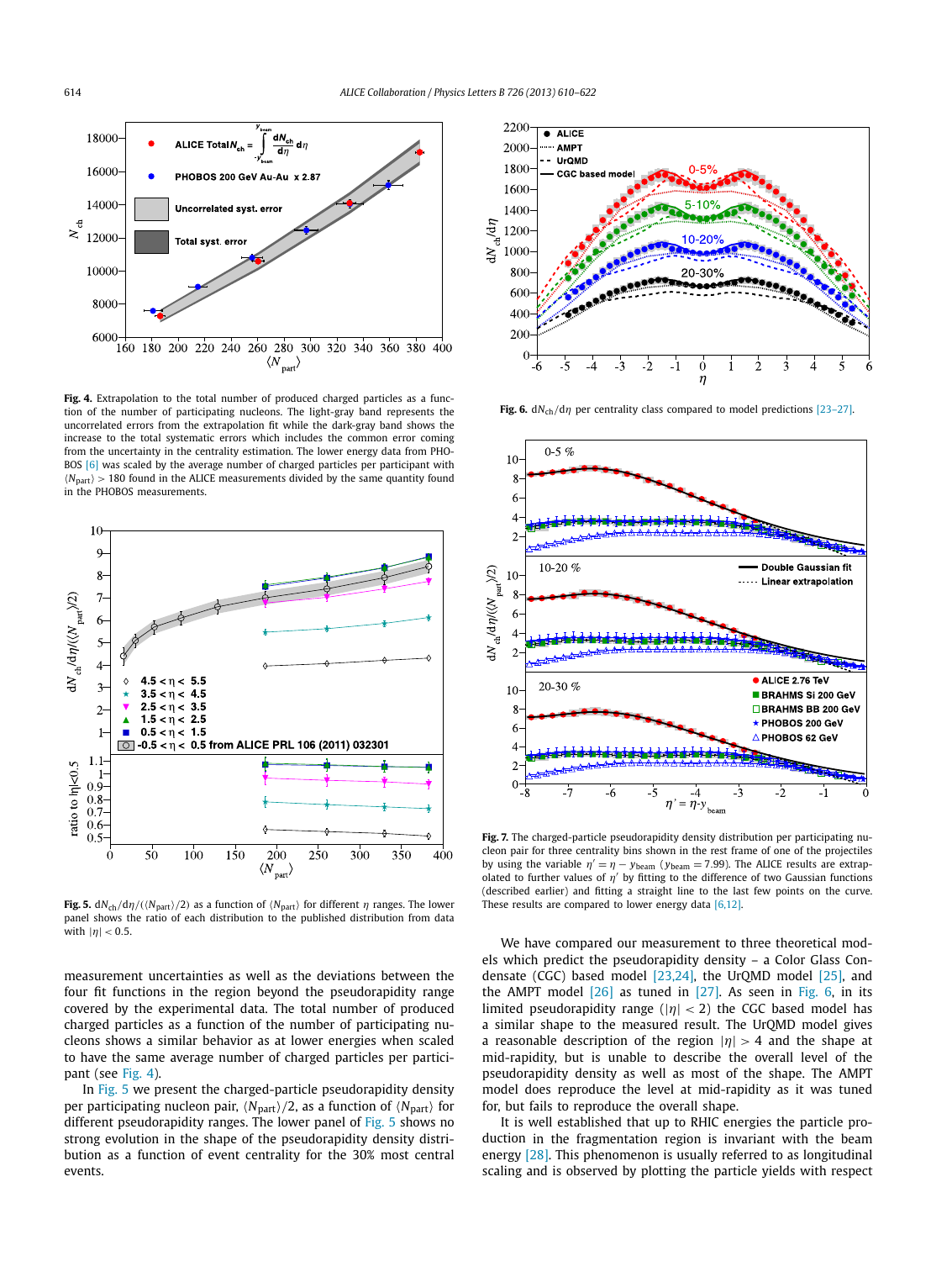<span id="page-4-0"></span>

**Fig. 4.** Extrapolation to the total number of produced charged particles as a function of the number of participating nucleons. The light-gray band represents the uncorrelated errors from the extrapolation fit while the dark-gray band shows the increase to the total systematic errors which includes the common error coming from the uncertainty in the centrality estimation. The lower energy data from PHO-BOS [\[6\]](#page-6-0) was scaled by the average number of charged particles per participant with  $\langle N_{\text{part}} \rangle$  > 180 found in the ALICE measurements divided by the same quantity found in the PHOBOS measurements.



**Fig. 5.**  $dN_{ch}/d\eta/(\langle N_{part} \rangle/2)$  as a function of  $\langle N_{part} \rangle$  for different  $\eta$  ranges. The lower panel shows the ratio of each distribution to the published distribution from data with |*η*| *<* <sup>0</sup>*.*5.

measurement uncertainties as well as the deviations between the four fit functions in the region beyond the pseudorapidity range covered by the experimental data. The total number of produced charged particles as a function of the number of participating nucleons shows a similar behavior as at lower energies when scaled to have the same average number of charged particles per participant (see Fig. 4).

In Fig. 5 we present the charged-particle pseudorapidity density per participating nucleon pair,  $\langle N_{\text{part}}\rangle/2$ , as a function of  $\langle N_{\text{part}}\rangle$  for different pseudorapidity ranges. The lower panel of Fig. 5 shows no strong evolution in the shape of the pseudorapidity density distribution as a function of event centrality for the 30% most central events.



**Fig. 6.** d*N*ch*/*d*η* per centrality class compared to model predictions [\[23–27\].](#page-6-0)



**Fig. 7.** The charged-particle pseudorapidity density distribution per participating nucleon pair for three centrality bins shown in the rest frame of one of the projectiles by using the variable  $\eta' = \eta - y_{\text{beam}}$  ( $y_{\text{beam}} = 7.99$ ). The ALICE results are extrapolated to further values of  $\eta'$  by fitting to the difference of two Gaussian functions (described earlier) and fitting a straight line to the last few points on the curve. These results are compared to lower energy data  $[6,12]$ .

We have compared our measurement to three theoretical models which predict the pseudorapidity density – a Color Glass Condensate (CGC) based model  $[23,24]$ , the UrQMD model  $[25]$ , and the AMPT model  $[26]$  as tuned in  $[27]$ . As seen in Fig. 6, in its limited pseudorapidity range (|*η*| *<* 2) the CGC based model has a similar shape to the measured result. The UrQMD model gives a reasonable description of the region |*η*| *>* 4 and the shape at mid-rapidity, but is unable to describe the overall level of the pseudorapidity density as well as most of the shape. The AMPT model does reproduce the level at mid-rapidity as it was tuned for, but fails to reproduce the overall shape.

It is well established that up to RHIC energies the particle production in the fragmentation region is invariant with the beam energy [\[28\].](#page-7-0) This phenomenon is usually referred to as longitudinal scaling and is observed by plotting the particle yields with respect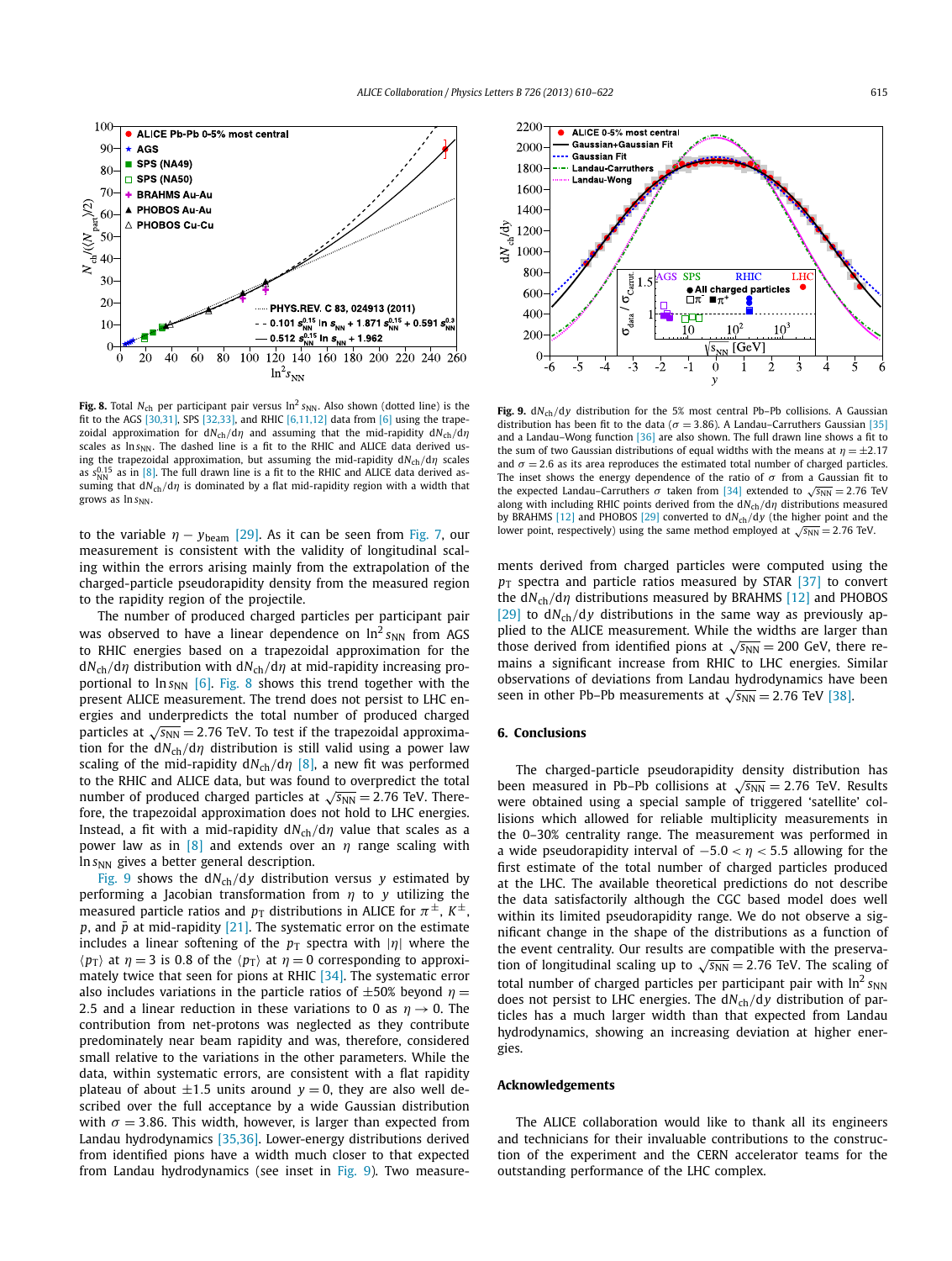

**Fig. 8.** Total  $N_{\text{ch}}$  per participant pair versus  $\ln^2 s_{\text{NN}}$ . Also shown (dotted line) is the fit to the AGS  $[30,31]$ , SPS  $[32,33]$ , and RHIC  $[6,11,12]$  data from  $[6]$  using the trapezoidal approximation for d*N*ch*/*d*η* and assuming that the mid-rapidity d*N*ch*/*d*η* scales as ln *s*<sub>NN</sub>. The dashed line is a fit to the RHIC and ALICE data derived using the trapezoidal approximation, but assuming the mid-rapidity  $dN<sub>ch</sub>/dη$  scales as  $s_{\rm N}^0$  $5$  as in  $[8]$ . The full drawn line is a fit to the RHIC and ALICE data derived assuming that  $dN_{ch}/d\eta$  is dominated by a flat mid-rapidity region with a width that grows as  $\ln s_{NN}$ .

to the variable  $\eta$  –  $y_{\text{beam}}$  [\[29\].](#page-7-0) As it can be seen from [Fig. 7,](#page-4-0) our measurement is consistent with the validity of longitudinal scaling within the errors arising mainly from the extrapolation of the charged-particle pseudorapidity density from the measured region to the rapidity region of the projectile.

The number of produced charged particles per participant pair was observed to have a linear dependence on  $\ln^2 s_{NN}$  from AGS to RHIC energies based on a trapezoidal approximation for the d*N*ch*/*d*η* distribution with d*N*ch*/*d*η* at mid-rapidity increasing proportional to  $\ln s_{NN}$  [\[6\].](#page-6-0) Fig. 8 shows this trend together with the present ALICE measurement. The trend does not persist to LHC energies and underpredicts the total number of produced charged particles at  $\sqrt{s_{NN}}$  = 2.76 TeV. To test if the trapezoidal approximation for the  $dN_{ch}/d\eta$  distribution is still valid using a power law scaling of the mid-rapidity  $dN_{ch}/d\eta$  [\[8\],](#page-6-0) a new fit was performed to the RHIC and ALICE data, but was found to overpredict the total number of produced charged particles at  $\sqrt{s_{NN}}$  = 2.76 TeV. Therefore, the trapezoidal approximation does not hold to LHC energies. Instead, a fit with a mid-rapidity  $dN_{ch}/d\eta$  value that scales as a power law as in [\[8\]](#page-6-0) and extends over an *η* range scaling with In *s*<sub>NN</sub> gives a better general description.

Fig. 9 shows the  $dN_{ch}/dy$  distribution versus *y* estimated by performing a Jacobian transformation from *η* to *y* utilizing the measured particle ratios and  $p<sub>T</sub>$  distributions in ALICE for  $\pi^{\pm}$ ,  $K^{\pm}$ ,  $p$ , and  $\bar{p}$  at mid-rapidity  $[21]$ . The systematic error on the estimate includes a linear softening of the  $p<sub>T</sub>$  spectra with  $|\eta|$  where the  $\langle p_{\text{T}} \rangle$  at  $\eta = 3$  is 0.8 of the  $\langle p_{\text{T}} \rangle$  at  $\eta = 0$  corresponding to approximately twice that seen for pions at RHIC [\[34\].](#page-7-0) The systematic error also includes variations in the particle ratios of  $\pm 50\%$  beyond  $\eta =$ 2.5 and a linear reduction in these variations to 0 as  $\eta \to 0$ . The contribution from net-protons was neglected as they contribute predominately near beam rapidity and was, therefore, considered small relative to the variations in the other parameters. While the data, within systematic errors, are consistent with a flat rapidity plateau of about  $\pm 1.5$  units around  $y = 0$ , they are also well described over the full acceptance by a wide Gaussian distribution with  $\sigma = 3.86$ . This width, however, is larger than expected from Landau hydrodynamics [\[35,36\].](#page-7-0) Lower-energy distributions derived from identified pions have a width much closer to that expected from Landau hydrodynamics (see inset in Fig. 9). Two measure-



Fig. 9.  $dN_{ch}/dy$  distribution for the 5% most central Pb–Pb collisions. A Gaussian distribution has been fit to the data ( $\sigma$  = 3.86). A Landau–Carruthers Gaussian [\[35\]](#page-7-0) and a Landau–Wong function [\[36\]](#page-7-0) are also shown. The full drawn line shows a fit to the sum of two Gaussian distributions of equal widths with the means at *η* = ±2*.*<sup>17</sup> and  $\sigma = 2.6$  as its area reproduces the estimated total number of charged particles. The inset shows the energy dependence of the ratio of  $\sigma$  from a Gaussian fit to the expected Landau–Carruthers  $\sigma$  taken from [\[34\]](#page-7-0) extended to  $\sqrt{s_{NN}} = 2.76$  TeV along with including RHIC points derived from the d*N*ch*/*d*η* distributions measured by BRAHMS [\[12\]](#page-6-0) and PHOBOS [\[29\]](#page-7-0) converted to d*N*ch*/*d*y* (the higher point and the lower point, respectively) using the same method employed at  $\sqrt{s_{NN}} = 2.76$  TeV.

ments derived from charged particles were computed using the *p*<sup>T</sup> spectra and particle ratios measured by STAR [\[37\]](#page-7-0) to convert the d*N*ch*/*d*η* distributions measured by BRAHMS [\[12\]](#page-6-0) and PHOBOS [\[29\]](#page-7-0) to dN<sub>ch</sub>/dy distributions in the same way as previously applied to the ALICE measurement. While the widths are larger than those derived from identified pions at  $\sqrt{s_{NN}}$  = 200 GeV, there remains a significant increase from RHIC to LHC energies. Similar observations of deviations from Landau hydrodynamics have been seen in other Pb–Pb measurements at  $\sqrt{s_{NN}}$  = 2.76 TeV [\[38\].](#page-7-0)

#### **6. Conclusions**

The charged-particle pseudorapidity density distribution has been measured in Pb–Pb collisions at  $\sqrt{s_{NN}} = 2.76$  TeV. Results were obtained using a special sample of triggered 'satellite' collisions which allowed for reliable multiplicity measurements in the 0–30% centrality range. The measurement was performed in a wide pseudorapidity interval of −5*.*<sup>0</sup> *< η <* <sup>5</sup>*.*5 allowing for the first estimate of the total number of charged particles produced at the LHC. The available theoretical predictions do not describe the data satisfactorily although the CGC based model does well within its limited pseudorapidity range. We do not observe a significant change in the shape of the distributions as a function of the event centrality. Our results are compatible with the preservation of longitudinal scaling up to  $\sqrt{s_{NN}} = 2.76$  TeV. The scaling of total number of charged particles per participant pair with  $\ln^2 s_{NN}$ does not persist to LHC energies. The dN<sub>ch</sub>/dy distribution of particles has a much larger width than that expected from Landau hydrodynamics, showing an increasing deviation at higher energies.

#### **Acknowledgements**

The ALICE collaboration would like to thank all its engineers and technicians for their invaluable contributions to the construction of the experiment and the CERN accelerator teams for the outstanding performance of the LHC complex.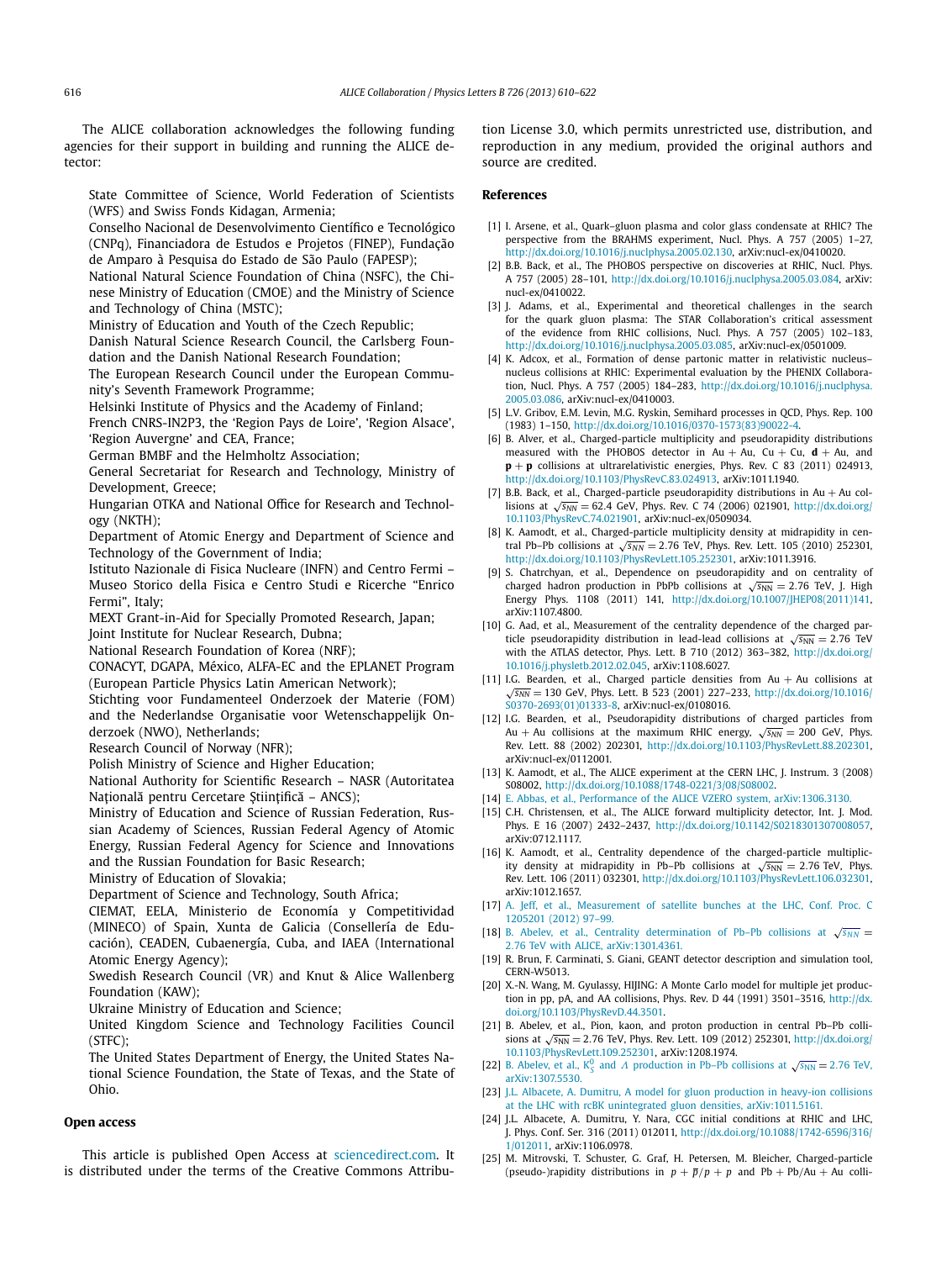<span id="page-6-0"></span>The ALICE collaboration acknowledges the following funding agencies for their support in building and running the ALICE detector:

State Committee of Science, World Federation of Scientists (WFS) and Swiss Fonds Kidagan, Armenia;

Conselho Nacional de Desenvolvimento Científico e Tecnológico (CNPq), Financiadora de Estudos e Projetos (FINEP), Fundação de Amparo à Pesquisa do Estado de São Paulo (FAPESP);

National Natural Science Foundation of China (NSFC), the Chinese Ministry of Education (CMOE) and the Ministry of Science and Technology of China (MSTC);

Ministry of Education and Youth of the Czech Republic;

Danish Natural Science Research Council, the Carlsberg Foundation and the Danish National Research Foundation;

The European Research Council under the European Community's Seventh Framework Programme;

Helsinki Institute of Physics and the Academy of Finland;

French CNRS-IN2P3, the 'Region Pays de Loire', 'Region Alsace', 'Region Auvergne' and CEA, France;

German BMBF and the Helmholtz Association;

General Secretariat for Research and Technology, Ministry of Development, Greece;

Hungarian OTKA and National Office for Research and Technology (NKTH);

Department of Atomic Energy and Department of Science and Technology of the Government of India;

Istituto Nazionale di Fisica Nucleare (INFN) and Centro Fermi – Museo Storico della Fisica e Centro Studi e Ricerche "Enrico Fermi", Italy;

MEXT Grant-in-Aid for Specially Promoted Research, Japan; Joint Institute for Nuclear Research, Dubna;

National Research Foundation of Korea (NRF);

CONACYT, DGAPA, México, ALFA-EC and the EPLANET Program (European Particle Physics Latin American Network);

Stichting voor Fundamenteel Onderzoek der Materie (FOM) and the Nederlandse Organisatie voor Wetenschappelijk Onderzoek (NWO), Netherlands;

Research Council of Norway (NFR);

Polish Ministry of Science and Higher Education;

National Authority for Scientific Research – NASR (Autoritatea Națională pentru Cercetare Științifică – ANCS);

Ministry of Education and Science of Russian Federation, Russian Academy of Sciences, Russian Federal Agency of Atomic Energy, Russian Federal Agency for Science and Innovations and the Russian Foundation for Basic Research;

Ministry of Education of Slovakia;

Department of Science and Technology, South Africa;

CIEMAT, EELA, Ministerio de Economía y Competitividad (MINECO) of Spain, Xunta de Galicia (Consellería de Educación), CEADEN, Cubaenergía, Cuba, and IAEA (International Atomic Energy Agency);

Swedish Research Council (VR) and Knut & Alice Wallenberg Foundation (KAW);

Ukraine Ministry of Education and Science;

United Kingdom Science and Technology Facilities Council (STFC);

The United States Department of Energy, the United States National Science Foundation, the State of Texas, and the State of Ohio.

#### **Open access**

This article is published Open Access at [sciencedirect.com](http://www.sciencedirect.com). It is distributed under the terms of the Creative Commons Attribution License 3.0, which permits unrestricted use, distribution, and reproduction in any medium, provided the original authors and source are credited.

### **References**

- [1] I. Arsene, et al., Quark–gluon plasma and color glass condensate at RHIC? The perspective from the BRAHMS experiment, Nucl. Phys. A 757 (2005) 1–27, <http://dx.doi.org/10.1016/j.nuclphysa.2005.02.130>, arXiv:nucl-ex/0410020.
- [2] B.B. Back, et al., The PHOBOS perspective on discoveries at RHIC, Nucl. Phys. A 757 (2005) 28–101, <http://dx.doi.org/10.1016/j.nuclphysa.2005.03.084>, arXiv: nucl-ex/0410022.
- [3] J. Adams, et al., Experimental and theoretical challenges in the search for the quark gluon plasma: The STAR Collaboration's critical assessment of the evidence from RHIC collisions, Nucl. Phys. A 757 (2005) 102–183, [http://dx.doi.org/10.1016/j.nuclphysa.2005.03.085,](http://dx.doi.org/10.1016/j.nuclphysa.2005.03.085) arXiv:nucl-ex/0501009.
- [4] K. Adcox, et al., Formation of dense partonic matter in relativistic nucleus– nucleus collisions at RHIC: Experimental evaluation by the PHENIX Collaboration, Nucl. Phys. A 757 (2005) 184–283, [http://dx.doi.org/10.1016/j.nuclphysa.](http://dx.doi.org/10.1016/j.nuclphysa.2005.03.086) [2005.03.086,](http://dx.doi.org/10.1016/j.nuclphysa.2005.03.086) arXiv:nucl-ex/0410003.
- [5] L.V. Gribov, E.M. Levin, M.G. Ryskin, Semihard processes in QCD, Phys. Rep. 100 (1983) 1–150, [http://dx.doi.org/10.1016/0370-1573\(83\)90022-4](http://dx.doi.org/10.1016/0370-1573(83)90022-4).
- [6] B. Alver, et al., Charged-particle multiplicity and pseudorapidity distributions measured with the PHOBOS detector in Au + Au, Cu + Cu,  $d$  + Au, and  $p + p$  collisions at ultrarelativistic energies, Phys. Rev. C 83 (2011) 024913, [http://dx.doi.org/10.1103/PhysRevC.83.024913,](http://dx.doi.org/10.1103/PhysRevC.83.024913) arXiv:1011.1940.
- [7] B.B. Back, et al., Charged-particle pseudorapidity distributions in Au + Au collisions at  $\sqrt{s_{NN}}$  = 62.4 GeV, Phys. Rev. C 74 (2006) 021901, [http://dx.doi.org/](http://dx.doi.org/10.1103/PhysRevC.74.021901) [10.1103/PhysRevC.74.021901](http://dx.doi.org/10.1103/PhysRevC.74.021901), arXiv:nucl-ex/0509034.
- [8] K. Aamodt, et al., Charged-particle multiplicity density at midrapidity in central Pb–Pb collisions at  $\sqrt{s_{NN}}$  = 2.76 TeV, Phys. Rev. Lett. 105 (2010) 252301, <http://dx.doi.org/10.1103/PhysRevLett.105.252301>, arXiv:1011.3916.
- [9] S. Chatrchyan, et al., Dependence on pseudorapidity and on centrality of charged hadron production in PbPb collisions at  $\sqrt{s_{NN}} = 2.76$  TeV, J. High Energy Phys. 1108 (2011) 141, [http://dx.doi.org/10.1007/JHEP08\(2011\)141](http://dx.doi.org/10.1007/JHEP08(2011)141), arXiv:1107.4800.
- [10] G. Aad, et al., Measurement of the centrality dependence of the charged particle pseudorapidity distribution in lead-lead collisions at  $\sqrt{s_{NN}} = 2.76$  TeV with the ATLAS detector, Phys. Lett. B 710 (2012) 363–382, [http://dx.doi.org/](http://dx.doi.org/10.1016/j.physletb.2012.02.045) [10.1016/j.physletb.2012.02.045,](http://dx.doi.org/10.1016/j.physletb.2012.02.045) arXiv:1108.6027.
- [11] I.G. Bearden, et al., Charged particle densities from  $Au + Au$  collisions at  $\sqrt{s_{NN}}$  = 130 GeV, Phys. Lett. B 523 (2001) 227–233, [http://dx.doi.org/10.1016/](http://dx.doi.org/10.1016/S0370-2693(01)01333-8) [S0370-2693\(01\)01333-8,](http://dx.doi.org/10.1016/S0370-2693(01)01333-8) arXiv:nucl-ex/0108016.
- [12] I.G. Bearden, et al., Pseudorapidity distributions of charged particles from Au + Au collisions at the maximum RHIC energy,  $\sqrt{s_{NN}} = 200$  GeV, Phys. Rev. Lett. 88 (2002) 202301, <http://dx.doi.org/10.1103/PhysRevLett.88.202301>, arXiv:nucl-ex/0112001.
- [13] K. Aamodt, et al., The ALICE experiment at the CERN LHC, J. Instrum. 3 (2008) S08002, <http://dx.doi.org/10.1088/1748-0221/3/08/S08002>.
- [14] E. [Abbas, et al., Performance of the ALICE VZERO system, arXiv:1306.3130.](http://refhub.elsevier.com/S0370-2693(13)00739-9/bib41626261733A32303133746161s1)
- [15] C.H. Christensen, et al., The ALICE forward multiplicity detector, Int. J. Mod. Phys. E 16 (2007) 2432–2437, <http://dx.doi.org/10.1142/S0218301307008057>, arXiv:0712.1117.
- [16] K. Aamodt, et al., Centrality dependence of the charged-particle multiplicity density at midrapidity in Pb–Pb collisions at  $\sqrt{s_{NN}} = 2.76$  TeV, Phys. Rev. Lett. 106 (2011) 032301, <http://dx.doi.org/10.1103/PhysRevLett.106.032301>, arXiv:1012.1657.
- [17] [A. Jeff, et al., Measurement of satellite bunches at the LHC, Conf. Proc. C](http://refhub.elsevier.com/S0370-2693(13)00739-9/bib57656C7363683A323031327A7A66s1) [1205201 \(2012\) 97–99.](http://refhub.elsevier.com/S0370-2693(13)00739-9/bib57656C7363683A323031327A7A66s1)
- [18] [B. Abelev, et al., Centrality determination of Pb–Pb collisions at](http://refhub.elsevier.com/S0370-2693(13)00739-9/bib4162656C65763A32303133716F71s1)  $\sqrt{s_{NN}}$  = 2*.*[76 TeV with ALICE, arXiv:1301.4361.](http://refhub.elsevier.com/S0370-2693(13)00739-9/bib4162656C65763A32303133716F71s1)
- [19] R. Brun, F. Carminati, S. Giani, GEANT detector description and simulation tool, CERN-W5013.
- [20] X.-N. Wang, M. Gyulassy, HIJING: A Monte Carlo model for multiple jet production in pp, pA, and AA collisions, Phys. Rev. D 44 (1991) 3501–3516, [http://dx.](http://dx.doi.org/10.1103/PhysRevD.44.3501) [doi.org/10.1103/PhysRevD.44.3501](http://dx.doi.org/10.1103/PhysRevD.44.3501).
- [21] B. Abelev, et al., Pion, kaon, and proton production in central Pb-Pb collisions at √<sup>*s*<sub>NN</sub></sup> = 2.76 TeV, Phys. Rev. Lett. 109 (2012) 252301, [http://dx.doi.org/](http://dx.doi.org/10.1103/PhysRevLett.109.252301) [10.1103/PhysRevLett.109.252301,](http://dx.doi.org/10.1103/PhysRevLett.109.252301) arXiv:1208.1974.
- [22] B. Abelev, et al.,  $K_S^0$  and  $\Lambda$  [production in Pb–Pb collisions at](http://refhub.elsevier.com/S0370-2693(13)00739-9/bib414C4943453A32303133786161s1)  $\sqrt{s_{NN}} = 2.76$  TeV, [arXiv:1307.5530.](http://refhub.elsevier.com/S0370-2693(13)00739-9/bib414C4943453A32303133786161s1)
- [23] [J.L. Albacete, A. Dumitru, A model for gluon production in heavy-ion collisions](http://refhub.elsevier.com/S0370-2693(13)00739-9/bib414C6261636574653A323031306164s1) [at the LHC with rcBK unintegrated gluon densities, arXiv:1011.5161.](http://refhub.elsevier.com/S0370-2693(13)00739-9/bib414C6261636574653A323031306164s1)
- [24] J.L. Albacete, A. Dumitru, Y. Nara, CGC initial conditions at RHIC and LHC, J. Phys. Conf. Ser. 316 (2011) 012011, [http://dx.doi.org/10.1088/1742-6596/316/](http://dx.doi.org/10.1088/1742-6596/316/1/012011) [1/012011,](http://dx.doi.org/10.1088/1742-6596/316/1/012011) arXiv:1106.0978.
- [25] M. Mitrovski, T. Schuster, G. Graf, H. Petersen, M. Bleicher, Charged-particle (pseudo-)rapidity distributions in  $p + \overline{p}/p + p$  and Pb + Pb/Au + Au colli-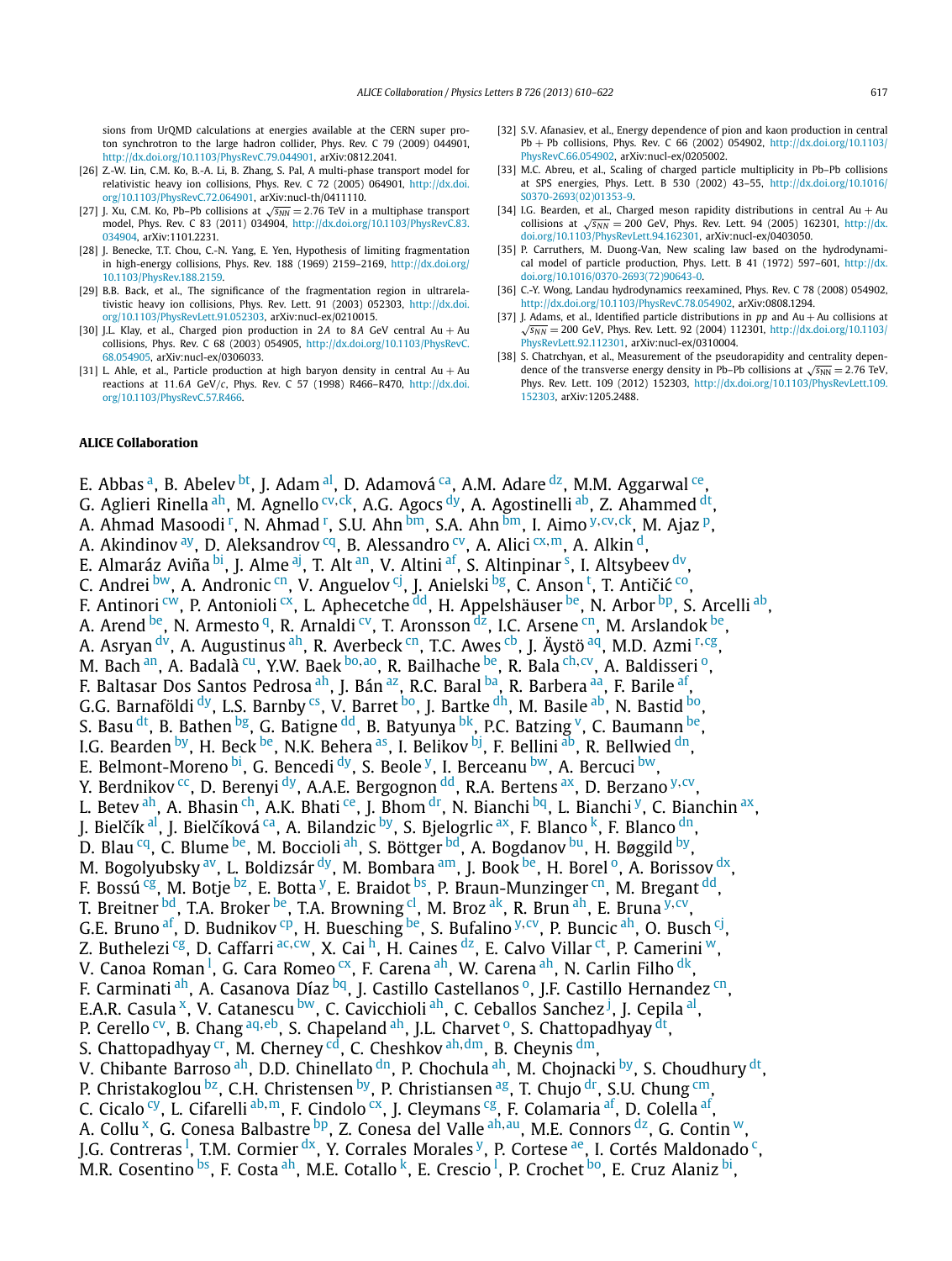<span id="page-7-0"></span>sions from UrQMD calculations at energies available at the CERN super proton synchrotron to the large hadron collider, Phys. Rev. C 79 (2009) 044901, <http://dx.doi.org/10.1103/PhysRevC.79.044901>, arXiv:0812.2041.

- [26] Z.-W. Lin, C.M. Ko, B.-A. Li, B. Zhang, S. Pal, A multi-phase transport model for relativistic heavy ion collisions, Phys. Rev. C 72 (2005) 064901, [http://dx.doi.](http://dx.doi.org/10.1103/PhysRevC.72.064901) [org/10.1103/PhysRevC.72.064901,](http://dx.doi.org/10.1103/PhysRevC.72.064901) arXiv:nucl-th/0411110.
- [27] J. Xu, C.M. Ko, Pb–Pb collisions at  $\sqrt{s_{NN}}$  = 2.76 TeV in a multiphase transport model, Phys. Rev. C 83 (2011) 034904, [http://dx.doi.org/10.1103/PhysRevC.83.](http://dx.doi.org/10.1103/PhysRevC.83.034904) [034904,](http://dx.doi.org/10.1103/PhysRevC.83.034904) arXiv:1101.2231.
- [28] J. Benecke, T.T. Chou, C.-N. Yang, E. Yen, Hypothesis of limiting fragmentation in high-energy collisions, Phys. Rev. 188 (1969) 2159–2169, [http://dx.doi.org/](http://dx.doi.org/10.1103/PhysRev.188.2159) [10.1103/PhysRev.188.2159.](http://dx.doi.org/10.1103/PhysRev.188.2159)
- [29] B.B. Back, et al., The significance of the fragmentation region in ultrarelativistic heavy ion collisions, Phys. Rev. Lett. 91 (2003) 052303, [http://dx.doi.](http://dx.doi.org/10.1103/PhysRevLett.91.052303) [org/10.1103/PhysRevLett.91.052303,](http://dx.doi.org/10.1103/PhysRevLett.91.052303) arXiv:nucl-ex/0210015.
- [30] J.L. Klay, et al., Charged pion production in 2*A* to 8*A* GeV central Au + Au collisions, Phys. Rev. C 68 (2003) 054905, [http://dx.doi.org/10.1103/PhysRevC.](http://dx.doi.org/10.1103/PhysRevC.68.054905) [68.054905](http://dx.doi.org/10.1103/PhysRevC.68.054905), arXiv:nucl-ex/0306033.
- [31] L. Ahle, et al., Particle production at high baryon density in central  $Au + Au$ reactions at 11*.*6*A* GeV*/c*, Phys. Rev. C 57 (1998) R466–R470, [http://dx.doi.](http://dx.doi.org/10.1103/PhysRevC.57.R466) [org/10.1103/PhysRevC.57.R466](http://dx.doi.org/10.1103/PhysRevC.57.R466).
- [32] S.V. Afanasiev, et al., Energy dependence of pion and kaon production in central Pb + Pb collisions, Phys. Rev. C 66 (2002) 054902, [http://dx.doi.org/10.1103/](http://dx.doi.org/10.1103/PhysRevC.66.054902) [PhysRevC.66.054902,](http://dx.doi.org/10.1103/PhysRevC.66.054902) arXiv:nucl-ex/0205002.
- [33] M.C. Abreu, et al., Scaling of charged particle multiplicity in Pb–Pb collisions at SPS energies, Phys. Lett. B 530 (2002) 43–55, [http://dx.doi.org/10.1016/](http://dx.doi.org/10.1016/S0370-2693(02)01353-9) [S0370-2693\(02\)01353-9](http://dx.doi.org/10.1016/S0370-2693(02)01353-9).
- [34] I.G. Bearden, et al., Charged meson rapidity distributions in central  $Au + Au$ collisions at  $\sqrt{s_{NN}}$  = 200 GeV, Phys. Rev. Lett. 94 (2005) 162301, [http://dx.](http://dx.doi.org/10.1103/PhysRevLett.94.162301) [doi.org/10.1103/PhysRevLett.94.162301](http://dx.doi.org/10.1103/PhysRevLett.94.162301), arXiv:nucl-ex/0403050.
- [35] P. Carruthers, M. Duong-Van, New scaling law based on the hydrodynamical model of particle production, Phys. Lett. B 41 (1972) 597–601, [http://dx.](http://dx.doi.org/10.1016/0370-2693(72)90643-0) [doi.org/10.1016/0370-2693\(72\)90643-0](http://dx.doi.org/10.1016/0370-2693(72)90643-0).
- [36] C.-Y. Wong, Landau hydrodynamics reexamined, Phys. Rev. C 78 (2008) 054902, <http://dx.doi.org/10.1103/PhysRevC.78.054902>, arXiv:0808.1294.
- [37] J. Adams, et al., Identified particle distributions in *pp* and Au + Au collisions at  $\sqrt{s_{NN}}$  = 200 GeV, Phys. Rev. Lett. 92 (2004) 112301, [http://dx.doi.org/10.1103/](http://dx.doi.org/10.1103/PhysRevLett.92.112301) [PhysRevLett.92.112301,](http://dx.doi.org/10.1103/PhysRevLett.92.112301) arXiv:nucl-ex/0310004.
- [38] S. Chatrchyan, et al., Measurement of the pseudorapidity and centrality dependence of the transverse energy density in Pb–Pb collisions at  $\sqrt{s_{NN}} = 2.76$  TeV, Phys. Rev. Lett. 109 (2012) 152303, [http://dx.doi.org/10.1103/PhysRevLett.109.](http://dx.doi.org/10.1103/PhysRevLett.109.152303) [152303,](http://dx.doi.org/10.1103/PhysRevLett.109.152303) arXiv:1205.2488.

#### **ALICE Collaboration**

E. Abbas<sup>a</sup>, B. Abelev <sup>bt</sup>, J. Adam <sup>al</sup>, D. Adamová<sup>ca</sup>, A.M. Adare <sup>dz</sup>, M.M. Aggarwal <sup>ce</sup>, G. Aglieri Rinella [ah,](#page-11-0) M. Agnello [cv](#page-11-0)*,*[ck,](#page-11-0) A.G. Agocs [dy](#page-12-0), A. Agostinelli [ab,](#page-10-0) Z. Ahammed [dt](#page-12-0), A. Ahmad Masoodi <sup>[r](#page-10-0)</sup>, N. Ahmad <sup>r</sup>, S.U. Ahn <sup>bm</sup>, S.A. Ahn <sup>bm</sup>, I. Aimo <sup>[y](#page-10-0),[cv](#page-11-0),ck</sup>, M. Ajaz <sup>p</sup>, A. Akindinov <sup>ay</sup>, D. Aleksandrov <sup>cq</sup>, B. Alessandro <sup>cv</sup>, A. Alici <sup>[cx](#page-11-0),m</sup>, A. Alkin <sup>d</sup>, E. Almaráz Aviña <sup>[bi](#page-11-0)</sup>, J. Alme <sup>[aj](#page-11-0)</[s](#page-10-0)up>, T. Alt <sup>an</sup>, V. Altini <sup>af</sup>, S. Altinpinar <sup>s</sup>, I. Altsybeev <sup>dv</sup>, C. Andrei <sup>bw</sup>, A. Andronic <sup>[cn](#page-11-0)</sup>, V. Anguelov <sup>cj</sup>, J. Anielski <sup>bg</sup>, C. Anson <sup>[t](#page-10-0)</sup>, T. Antičić <sup>co</sup>, F. Antinori<sup>cw</sup>, P. Antonioli<sup>cx</sup>, L. Aphecetche [dd](#page-11-0), H. Appelshäuser [be,](#page-11-0) N. Arbor [bp,](#page-11-0) S. Arcelli [ab,](#page-10-0) A. Arend [be,](#page-11-0) N. Armesto <sup>q</sup>, R. Arnaldi <sup>[cv](#page-11-0)</sup>, T. Aronsson [dz,](#page-12-0) I.C. Arsene [cn,](#page-11-0) M. Arslandok be, A. Asryan [dv,](#page-12-0) A. Augustinus [ah,](#page-11-0) R. Averbeck Cn, T.C. Awes Cb, J. Äystö [aq,](#page-11-0) M.D. Azmi <sup>[r](#page-10-0), cg</sup>, M. Bach [an,](#page-11-0) A. Badalà [cu,](#page-11-0) Y.W. Baek [bo](#page-11-0)*,*[ao,](#page-11-0) R. Bailhache [be,](#page-11-0) R. Bala [ch](#page-11-0)*,*[cv,](#page-11-0) A. Baldisseri [o,](#page-10-0) F. Baltasar Dos Santos Pedrosa [ah,](#page-11-0) J. Bán [az,](#page-11-0) R.C. Baral [ba,](#page-11-0) R. Barbera [aa](#page-10-0), F. Barile [af,](#page-11-0) G.G. Barnaföldi <sup>[dy](#page-12-0)</sup>, L.S. Barnby <sup>cs</sup>, V. Barret <sup>bo</sup>, J. Bartke <sup>dh</sup>, M. Basile <sup>ab</sup>, N. Bastid <sup>bo</sup>, S. Basu  $dt$ , B. Bathen  $\frac{bg}{g}$ , G. Batigne  $\frac{dd}{g}$ , B. Batyunya  $\frac{bk}{g}$ , P.C. Batzing  $\frac{y}{g}$ , C. Baumann  $\frac{be}{g}$ , I.G. Bearden [by,](#page-11-0) H. Beck [be,](#page-11-0) N.K. Behera [as,](#page-11-0) I. Belikov [bj,](#page-11-0) F. Bellini [ab,](#page-10-0) R. Bellwied [dn,](#page-12-0) E. Belmont-Moreno  $\frac{bi}{n}$ , G. Bencedi  $\frac{dy}{n}$  $\frac{dy}{n}$  $\frac{dy}{n}$ , S. Beole <sup>y</sup>, I. Berceanu  $\frac{bw}{n}$ , A. Bercuci  $\frac{bw}{n}$ , Y. Berdnikov<sup>[cc](#page-11-0)</sup>, D. Beren[y](#page-10-0)i<sup>dy</sup>, A.A.E. Bergognon<sup>dd</sup>, R.A. Bertens<sup>ax</sup>, D. Berzano<sup>y,[cv](#page-11-0)</sup>, L. Betev <sup>ah</sup>, A. Bhasin <sup>ch</sup>, A.K. Bhati <sup>ce</sup>, J. Bhom <sup>dr</sup>, N. Bianchi <sup>[bq](#page-11-0)</sup>, L. Bianchi <sup>y</sup>, C. Bianchin <sup>ax</sup>, J. Bielčík<sup>al</sup>, J. Bielčíková<sup>ca</sup>, A. Bilandzic <sup>by</sup>, S. Bjelogrlic <sup>ax</sup>, F. Blanco <sup>k</sup>, F. Blanco [dn,](#page-12-0) D. Blau <sup>cq</sup>, C. Blume <sup>be</sup>, M. Boccioli <sup>ah</sup>, S. Böttger <sup>[bd](#page-11-0)</sup>, A. Bogdanov <sup>bu</sup>, H. Bøggild <sup>by</sup>, M. Bogolyubsky <sup>[av](#page-11-0)</sup>, L. Boldizsár <sup>dy</sup>, M. Bombara <sup>am</sup>, J. Book <sup>be</sup>, H. Borel <sup>o</sup>, A. Borissov <sup>dx</sup>, F. Bossú  $\text{cg}$ , M. Botje  $\text{bz}$  $\text{bz}$  $\text{bz}$ , E. Botta <sup>y</sup>, E. Braidot  $\text{bs}$ , P. Braun-Munzinger  $\text{cn}$ , M. Bregant dd. T. Breitner [bd,](#page-11-0) T.A. Broker [be,](#page-11-0) T.A. Browning [cl,](#page-11-0) M. Broz [ak,](#page-11-0) R. Brun [ah,](#page-11-0) E. Bruna [y](#page-10-0)*,*[cv,](#page-11-0) G.E. Bruno [af,](#page-11-0) D. Budnikov [cp,](#page-11-0) H. Buesching [be,](#page-11-0) S. Bufalino [y](#page-10-0)*,*[cv,](#page-11-0) P. Buncic [ah,](#page-11-0) O. Busch [cj,](#page-11-0) Z. Buthelezi Cg, D. Caffarri [ac](#page-10-0), Cw, X. Cai [h,](#page-10-0) H. Caines [dz,](#page-12-0) E. Calvo Villar <sup>ct</sup>, P. Camerini <sup>w</sup>, V. Canoa Roman<sup>1</sup>, G. Cara Romeo<sup>cx</sup>, F. Carena<sup>ah</sup>, W. Carena<sup>ah</sup>, N. Car[l](#page-10-0)in Filho<sup>dk</sup>, F. Carminati [ah,](#page-11-0) A. Casanova Díaz  $bq$ , J. Castillo Castellanos<sup>o</sup>, J.F. Castillo Hernandez <sup>cn</sup>, E.A.R. Casula <sup>x</sup>, V. Catanescu <sup>bw</sup>, C. Cavicchioli <sup>ah</sup>, C. Ceballos Sanchez <sup>[j](#page-10-0)</sup>, J. Cepila <sup>al</sup>, P. Cerello <sup>cv</sup>, B. Chang <sup>[aq](#page-11-0), eb</sup>, S. Chapeland <sup>[ah](#page-11-0)</sup>, J.L. Charvet<sup>o</sup>, S. Chattopadhyay <sup>dt</sup>, S. Chattopadhyay <sup>cr</sup>, M. Cherney <sup>cd</sup>, C. Cheshkov <sup>[ah](#page-11-0),dm</sup>, B. Cheynis [dm,](#page-12-0) V. Chibante Barroso [ah,](#page-11-0) D.D. Chinellato  $\frac{dn}{n}$ , P. Chochula ah, M. Chojnacki [by](#page-11-0), S. Choudhury  $\frac{dt}{n}$ , P. Christakoglou  $\overline{b}z$ , C.H. Christensen  $\overline{b}y$ , P. Christiansen  $\overline{a}g$ , T. Chujo  $\overline{d}r$ , S.U. Chung [cm,](#page-11-0) C. Cicalo [cy,](#page-11-0) L. Cifarelli [ab](#page-10-0)*,*[m,](#page-10-0) F. Cindolo [cx,](#page-11-0) J. Cleymans [cg,](#page-11-0) F. Colamaria [af,](#page-11-0) D. Colella [af,](#page-11-0) A. Collu<sup>x</sup>, G. Conesa Balbastre <sup>bp</sup>, Z. Conesa del Valle <sup>[ah](#page-11-0), au</sup>, M.E. Connors <sup>dz</sup>, G. Contin <sup>w</sup>, J.G. Contreras <sup>1</sup>, T.M. Cormier <sup>dx</sup>, Y. Corra[l](#page-10-0)es Morales <sup>y</sup>, P. Cortese <sup>ae</sup>, I. Cortés Maldonado <sup>c</sup>, M.R. Cosentino <sup>bs</sup>, F. Costa <sup>[ah](#page-11-0)</sup>, M.E. Cota[l](#page-10-0)lo <sup>k</sup>, E. Crescio <sup>l</sup>, P. Crochet <sup>bo</sup>, E. Cruz Alaniz <sup>bi</sup>,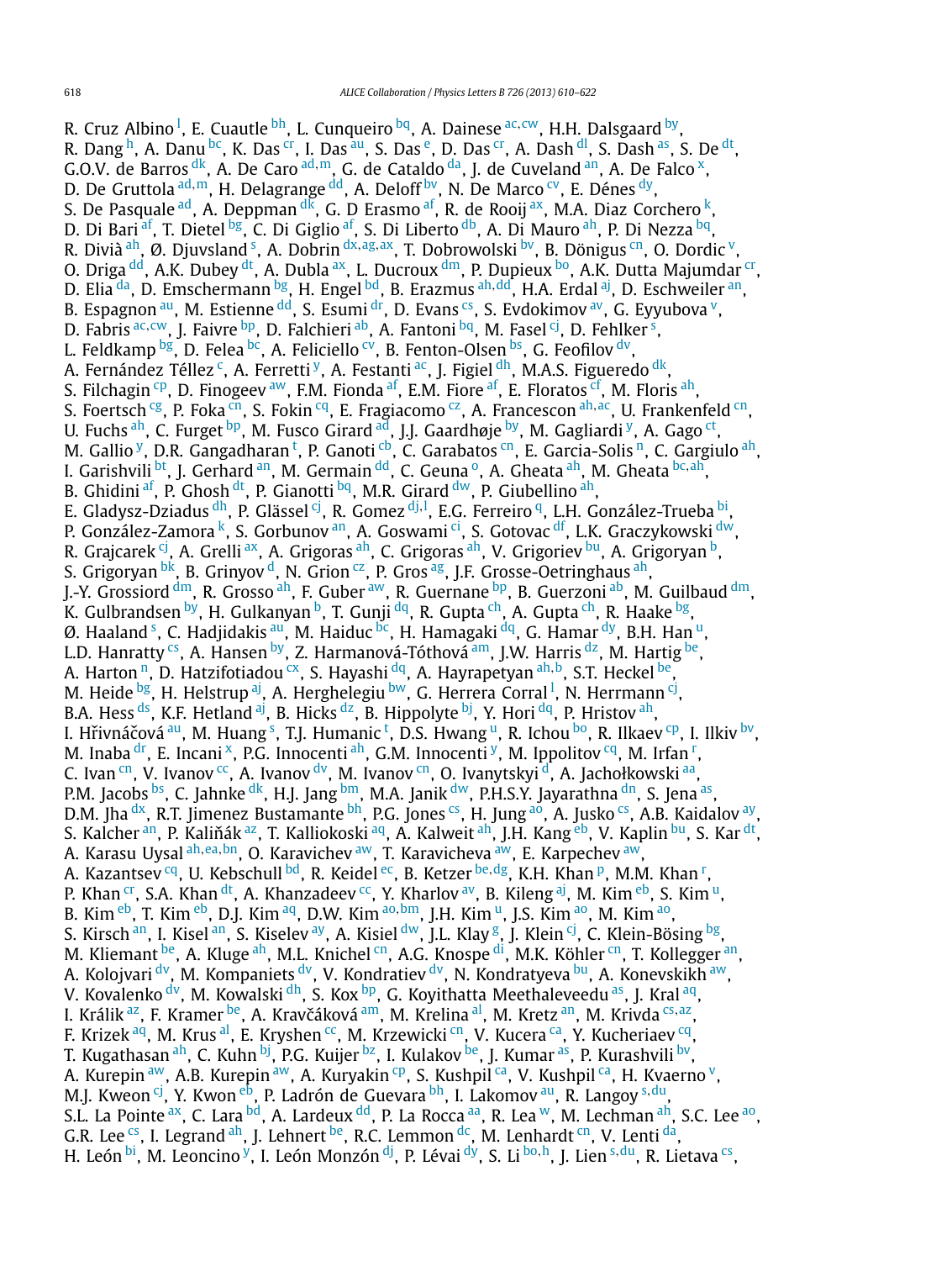R. Cruz A[l](#page-10-0)bino <sup>l</sup>, E. Cuautle <sup>bh</sup>, L. Cunqueiro <sup>bq</sup>, A. Dainese <sup>[ac](#page-10-0),cw</sup>, H.H. Dalsgaard <sup>by</sup>, R. Dang <sup>[h](#page-10-0)</sup>, A. Danu <sup>bc</sup>, K. Das <sup>cr</sup>, I. Das <sup>au</sup>, S. Das <sup>[e](#page-10-0)</sup>, D. Das <sup>cr</sup>, A. Dash <sup>dl</sup>, S. Dash <sup>as</sup>, S. De <sup>dt</sup>, G.O.V. de Barros <sup>dk</sup>, A. De Caro <sup>[ad](#page-10-0),[m](#page-10-0)</sup>, G. de Cataldo <sup>da</sup>, J. de Cuvel[an](#page-11-0)d <sup>an</sup>, A. De Falco <sup>x</sup>, D. De Gruttola <sup>[ad](#page-10-0),m</sup>, H. Delagrange <sup>dd</sup>, A. Deloff <sup>bv</sup>, N. De Marco <sup>[cv](#page-11-0)</sup>, E. Dénes <sup>[dy](#page-12-0)</sup>, S. De Pasquale <sup>ad</sup>, A. Deppman [dk,](#page-12-0) G. D Erasmo [af,](#page-11-0) R. de Rooij [ax,](#page-11-0) M.A. Diaz Corchero [k,](#page-10-0) D. Di Bari<sup>af</sup>, T. Dietel <sup>bg</sup>, C. Di Giglio <sup>af</sup>, S. Di Liberto <sup>db</sup>, A. Di Mauro <sup>ah</sup>, P. Di Nezza <sup>bq</sup>, R. Divià <[s](#page-10-0)up>ah</sup>, Ø. Djuvsland <sup>s</sup>, A. Dobrin <sup>[dx](#page-12-0),[ag](#page-11-0),[ax](#page-11-0)</sup>, T. Dobrowolski <sup>bv</sup>, B. Dönigus <sup>cn</sup>, O. Dordic <sup>v</sup>, O. Driga [dd,](#page-11-0) A.K. Dubey [dt,](#page-12-0) A. Dubla [ax,](#page-11-0) L. Ducroux [dm,](#page-12-0) P. Dupieux [bo,](#page-11-0) A.K. Dutta Majumdar [cr,](#page-11-0) D. Elia [da,](#page-11-0) D. Emschermann [bg,](#page-11-0) H. Engel [bd,](#page-11-0) B. Erazmus [ah](#page-11-0)*,*[dd,](#page-11-0) H.A. Erdal [aj,](#page-11-0) D. Eschweiler [an,](#page-11-0) B. Espagnon  $a^u$ , M. Estienne  $\frac{dd}{dx}$ , S. Esumi  $\frac{dr}{dx}$ , D. Evans  $\frac{cs}{dx}$ , S. Evdokimov  $\frac{dv}{dx}$ , G. Eyyubova  $\frac{v}{dx}$ , D. Fabris <sup>[ac](#page-10-0), cw</[s](#page-10-0)up>, J. Faivre <sup>bp</sup>, D. Falchieri <sup>ab</sup>, A. Fantoni <sup>bq</sup>, M. Fasel <sup>cj</sup>, D. Fehlker <sup>s</sup>, L. Feldkamp  $\frac{bg}{p}$ , D. Felea  $\frac{bc}{q}$ , A. Feliciello  $\frac{cy}{q}$ , B. Fenton-Olsen  $\frac{bs}{q}$ , G. Feofilov  $\frac{dv}{q}$ , A. Fernández Téllez<sup>c</sup>, A. Ferretti<sup>y</sup>, A. Festanti a[c,](#page-10-0) J. Figiel [dh,](#page-12-0) M.A.S. Figueredo [dk,](#page-12-0) S. Filchagin <sup>cp</sup>, D. Finogeev <sup>[aw](#page-11-0)</sup>, F.M. Fionda <sup>[af](#page-11-0)</sup>, E.M. Fiore <sup>af</sup>, E. Floratos <sup>cf</sup>, M. Floris <sup>ah</sup>, S. Foertsch <sup>cg</sup>, P. Foka [cn,](#page-11-0) S. Fokin <sup>cq</sup>, E. Fragiacomo <sup>cz</sup>, A. Francescon [ah](#page-11-0), [ac,](#page-10-0) U. Frankenfeld cn, U. Fuchs <sup>ah</sup>, C. Furget <sup>bp</sup>, M. Fusco Girard <sup>ad</sup>, J.J. Gaardhøje <sup>by</sup>, M. Gagliardi <sup>y</sup>, A. Gago <sup>ct</sup>, M. Gallio <sup>y</sup>, D.R. Gangadharan <sup>[t](#page-10-0)</sup>, P. Ganoti <sup>cb</sup>, C. Garabatos <sup>cn</sup>, E. Garcia-Solis <sup>n</sup>, C. Gargiulo <sup>ah</sup>, I. Garishvili<sup>bt</sup>, J. Gerhard [an,](#page-11-0) M. Germain [dd,](#page-11-0) C. Geuna<sup>o</sup>, A. Gheata [ah,](#page-11-0) M. Gheata [bc](#page-11-0),[ah](#page-11-0), B. Ghidini [af,](#page-11-0) P. Ghosh [dt,](#page-12-0) P. Gianotti <sup>bq</sup>, M.R. Girard [dw,](#page-12-0) P. Giubellino [ah,](#page-11-0) E. Gladysz-Dziadus <sup>dh</sup>, P. Glässel <sup>cj</sup>, R. Gomez <sup>[dj](#page-12-0), [l](#page-10-0)</sup>, E.G. Ferreiro <sup>q</sup>, L.H. González-Trueba <sup>bi</sup>, P. González-Zamora<sup>k</sup>, S. Gorbunov<sup>an</sup>, A. Goswami <sup>ci</sup>, S. Gotovac <sup>df</sup>, L.K. Graczykowski <sup>dw</sup>, R. Grajcarek <sup>cj</sup>, A. Grelli <sup>ax</sup>, A. Grigoras <sup>[ah](#page-11-0)</sup>, C. Grigoras <sup>ah</sup>, V. Grigoriev <sup>bu</sup>, A. Grigoryan <sup>b</sup>, S. Grigoryan  $\frac{bk}{m}$ , B. Grinyov<sup>d</sup>, N. Grion<sup>cz</sup>, P. Gros<sup>ag</sup>, J.F. Grosse-Oetringhaus [ah,](#page-11-0) J.-Y. Grossiord [dm,](#page-12-0) R. Grosso [ah,](#page-11-0) F. Guber [aw,](#page-11-0) R. Guernane [bp,](#page-11-0) B. Guerzoni [ab,](#page-10-0) M. Guilbaud dm, K. Gulbrandsen [by,](#page-11-0) H. Gulkanyan [b,](#page-10-0) T. Gunji <sup>[dq](#page-12-0)</sup>, R. Gupta <sup>ch</sup>, A. Gupta <sup>ch</sup>, R. Haake [bg,](#page-11-0) Ø. Haaland <[s](#page-10-0)up>s</sup>, C. Hadjidakis <sup>au</sup>, M. Haiduc <sup>bc</sup>, H. Hamagaki <sup>dq</sup>, G. Hamar <sup>dy</sup>, B.H. Han <sup>u</sup>, L.D. Hanratty<sup>cs</sup>, A. Hansen [by,](#page-11-0) Z. Harmanová-Tóthová<sup>am</sup>, J.W. Harris <sup>dz</sup>, M. Hartig [be,](#page-11-0) A. Harton<sup>n</sup>, D. Hatzifotiadou<sup>cx</sup>, S. Hayashi<sup>dq</sup>, A. Hayrapetyan [ah](#page-11-0), [b,](#page-10-0) S.T. Heckel [be,](#page-11-0) M. Heide <sup>bg</sup>, H. Helstrup <sup>[aj](#page-11-0)</sup>, A. Herghelegiu <sup>[bw](#page-11-0)</sup>, G. Herrera Corra[l](#page-10-0) <sup>l</sup>, N. Herrmann <sup>[cj](#page-11-0)</sup>, B.A. Hess [ds,](#page-12-0) K.F. Hetland [aj,](#page-11-0) B. Hicks [dz,](#page-12-0) B. Hippolyte [bj,](#page-11-0) Y. Hori [dq,](#page-12-0) P. Hristov [ah,](#page-11-0) I. Hřivnáčová <[s](#page-10-0)up>au</sup>, M. Huang <sup>s</sup>, T.J. Humanic <sup>[t](#page-10-0)</sup>, D.S. Hwang <sup>u</sup>, R. Ichou <sup>bo</sup>, R. Ilkaev <sup>cp</sup>, I. Ilkiv <sup>[bv](#page-11-0)</sup>, M. Inaba <sup>dr</sup>, E. Incani <sup>x</sup>, P.G. Innocenti <sup>ah</sup>, G.M. Innocenti <sup>[y](#page-10-0)</sup>, M. Ippolitov <sup>cq</sup>, M. I[r](#page-10-0)fan <sup>r</sup>, C. Ivan  $\text{cn}$ , V. Ivanov  $\text{cc}$ , A. Ivanov  $\text{dv}$ , M. Ivanov  $\text{cn}$ , O. Ivanytskyi  $\text{d}$ , A. Jachołkowski  $\text{da}$ , P.M. Jacobs <sup>bs</sup>, C. Jahnke <sup>dk</sup>, H.J. Jang <sup>bm</sup>, M.A. Janik <sup>dw</sup>, P.H.S.Y. Jayarathna <sup>dn</sup>, S. Jena <sup>as</sup>, D.M. Jha [dx,](#page-12-0) R.T. Jimenez Bustamante [bh,](#page-11-0) P.G. Jones Cs, H. Jung [ao,](#page-11-0) A. Jusko Cs, A.B. Kaidalov [ay](#page-11-0), S. Kalcher <sup>an</sup>, P. Kaliňák <sup>az</sup>, T. Kalliokoski <sup>aq</sup>, A. Kalweit <sup>ah</sup>, J.H. Kang <sup>eb</sup>, V. Kaplin <sup>bu</sup>, S. Kar <sup>dt</sup>, A. Karasu Uysal [ah](#page-11-0)*,*[ea](#page-12-0)*,*[bn,](#page-11-0) O. Karavichev [aw,](#page-11-0) T. Karavicheva [aw,](#page-11-0) E. Karpechev [aw,](#page-11-0) A. Kazantsev <sup>cq</sup>, U. Kebschull <sup>[bd](#page-11-0)</sup>, R. Keidel <sup>[ec](#page-12-0)</sup>, B. Ketzer <sup>[be](#page-11-0),dg</sup>, K.H. Khan <sup>p</sup>, M.M. Khan <sup>[r](#page-10-0)</sup>, P. Khan <sup>cr</sup>, S.A. Khan <sup>dt</sup>, A. Khanzadeev <sup>cc</sup>, Y. Kharlov<sup>av</sup>, B. Kileng <sup>[aj](#page-11-0)</s[u](#page-10-0)p>, M. Kim <sup>eb</sup>, S. Kim <sup>u</sup>, B. Kim <sup>eb</sup>, T. Kim <sup>eb</sup>, D.J. Kim <sup>aq</sup>, D.W. Kim <sup>[ao](#page-11-0),bm</s[u](#page-10-0)p>, J.H. Kim <sup>u</sup>, J.S. Kim <sup>ao</sup>, M. Kim <sup>ao</sup>, S. Kirsch <sup>an</sup>, I. Kisel <sup>an</sup>, S. Kiselev <sup>[ay](#page-11-0)</sup>, A. Kisiel <sup>dw</sup>, J.L. Klay <sup>g</sup>, J. Klein <sup>cj</sup>, C. Klein-Bösing <sup>bg</sup>, M. Kliemant [be,](#page-11-0) A. Kluge [ah,](#page-11-0) M.L. Knichel Cn, A.G. Knospe [di,](#page-12-0) M.K. Köhler Cn, T. Kollegger [an,](#page-11-0) A. Kolojvari <sup>dv</sup>, M. Kompaniets <sup>dv</sup>, V. Kondratiev <sup>dv</sup>, N. Kondratyeva <sup>bu</sup>, A. Konevskikh <sup>aw</sup>, V. Kovalenko <sup>dv</sup>, M. Kowalski <sup>dh</sup>, S. Kox <sup>[bp](#page-11-0)</sup>, G. Koyithatta Meethaleveedu <sup>as</sup>, J. Kral <sup>aq</sup>, I. Králik <sup>az</sup>, F. Kramer <sup>be</sup>, A. Kravčáková <sup>am</sup>, M. Krelina <sup>al</sup>, M. Kretz <sup>an</sup>, M. Krivda <sup>[cs](#page-11-0), az</sup>, F. Krizek <sup>aq</sup>, M. Krus <sup>al</sup>, E. Kryshen <sup>cc</sup>, M. Krzewicki <sup>cn</sup>, V. Kucera <sup>ca</sup>, Y. Kucheriaev <sup>cq</sup>, T. Kugathasan [ah,](#page-11-0) C. Kuhn [bj,](#page-11-0) P.G. Kuijer [bz,](#page-11-0) I. Kulakov [be,](#page-11-0) J. Kumar [as,](#page-11-0) P. Kurashvili [bv](#page-11-0), A. Kurepin [aw,](#page-11-0) A.B. Kurepin aw, A. Kuryakin [cp](#page-11-0), S. Kushpil Ca, V. Kushpil Ca, H. Kvaerno [v,](#page-10-0) M.J. Kweon <sup>cj</sup>, Y. Kwon <sup>eb</sup>, P. Ladrón de Guevara [bh,](#page-11-0) I. Lakomov [au,](#page-11-0) R. Langoy [s](#page-10-0), [du,](#page-12-0) S.L. La Pointe [ax,](#page-11-0) C. Lara [bd,](#page-11-0) A. Lardeux [dd,](#page-11-0) P. La Rocca [aa,](#page-10-0) R. Lea W, M. Lechman [ah,](#page-11-0) S.C. Lee [ao,](#page-11-0) G.R. Lee  $\text{cs}$ , I. Legrand  $\text{ab}$ , J. Lehnert  $\text{be}$ , R.C. Lemmon  $\text{dc}$ , M. Lenhardt  $\text{ca}$ , V. Lenti  $\text{da}$ , H. León [bi,](#page-11-0) M. Leoncino [y,](#page-10-0) I. León Monzón [dj,](#page-12-0) P. Lévai [dy,](#page-12-0) S. Li [bo](#page-11-0)*,*[h,](#page-10-0) J. Lien [s](#page-10-0)*,*[du,](#page-12-0) R. Lietava [cs,](#page-11-0)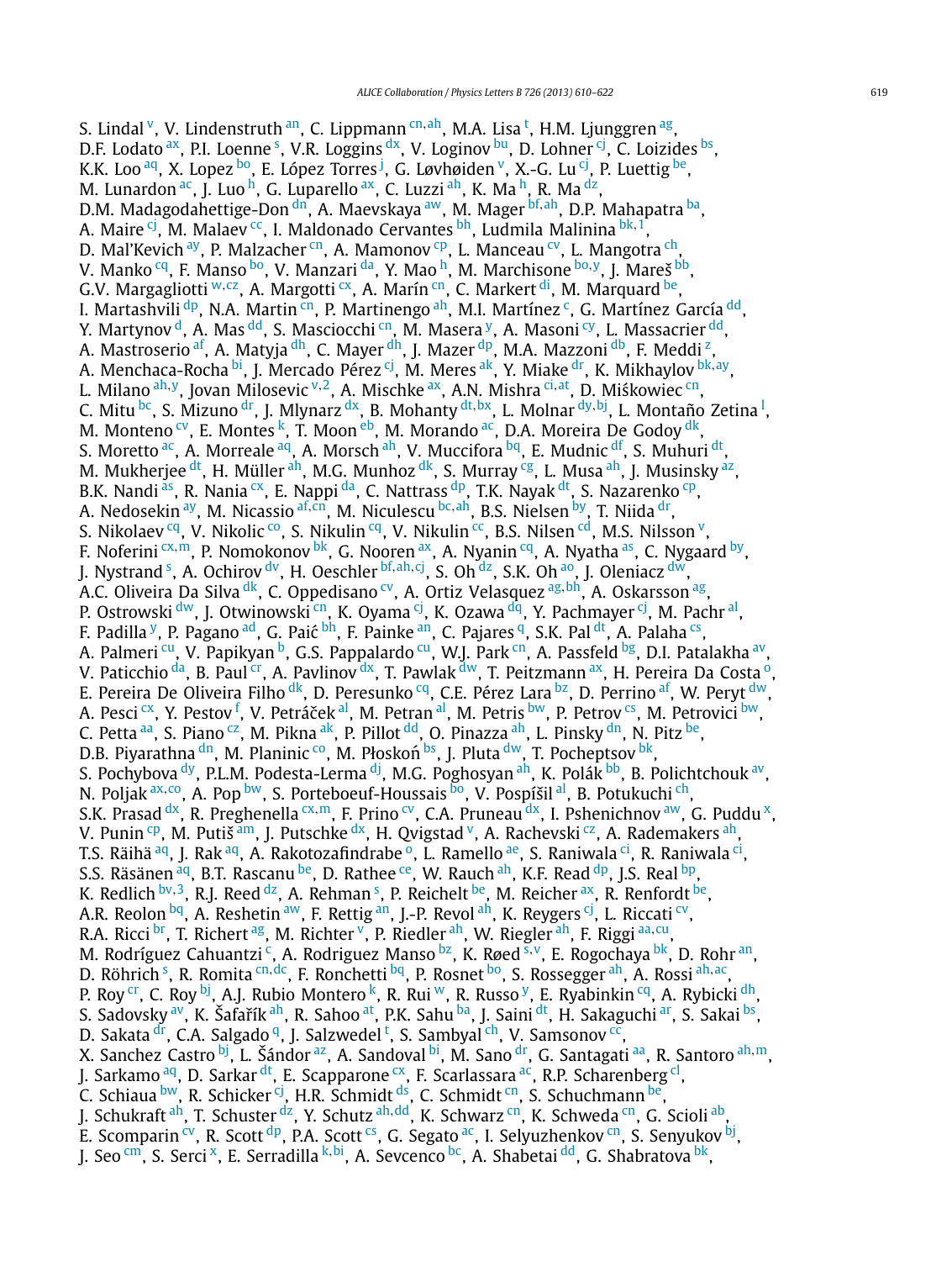S. Lindal <sup>v</sup>, V. Lindenstruth <sup>an</sup>, C. Lippmann <sup>[cn](#page-11-0), ah</sup>, M.A. Lisa <sup>[t](#page-10-0)</sup>, H.M. Ljunggren <sup>ag</sup>, D.F. Lodato <[s](#page-10-0)up>ax</sup>, P.I. Loenne <sup>s</sup>, V.R. Loggins <sup>dx</sup>, V. Loginov <sup>[bu](#page-11-0)</sup>, D. Lohner <sup>cj</sup>, C. Loizides <sup>bs</sup>, K.K. Loo <sup>aq</sup>, X. Lopez <sup>bo</sup>, E. López Torres <sup>[j](#page-10-0)</sup>, G. Løvhøiden <sup>v</sup>, X.-G. Lu <sup>cj</sup>, P. Luettig <sup>be</sup>, M. Lunardon  $a^c$ , J. Luo [h,](#page-10-0) G. Luparello  $a^x$ , C. Luzzi  $a^h$ , K. Ma h, R. Ma  $dz$ , D.M. Madagodahettige-Don [dn,](#page-12-0) A. Maevskaya [aw,](#page-11-0) M. Mager [bf](#page-11-0), [ah](#page-11-0), D.P. Mahapatra [ba,](#page-11-0) A. Maire [cj](#page-11-0), M. Malaev [cc,](#page-11-0) I. Maldonado Cervantes [bh,](#page-11-0) Ludmila Malinina [bk](#page-11-0), [1](#page-12-0), D. Mal'Kevi[ch](#page-11-0) <sup>ay</sup>, P. Malzacher <sup>cn</sup>, A. Mamonov <sup>cp</sup>, L. Manceau <sup>cv</sup>, L. Mangotra <sup>ch</sup>, V. Manko [cq,](#page-11-0) F. Manso [bo,](#page-11-0) V. Manzari [da,](#page-11-0) Y. Mao [h,](#page-10-0) M. Marchisone [bo](#page-11-0)*,*[y](#page-10-0), J. Mareš [bb,](#page-11-0) G.V. Margagliotti <sup>[w](#page-10-0),cz</sup>, A. Margotti CX, A. Marín C<sub>n</sub>, C. Markert [di,](#page-12-0) M. Marquard [be,](#page-11-0) I. Martashvili [dp,](#page-12-0) N.A. Martin [cn,](#page-11-0) P. Martinengo [ah,](#page-11-0) M.I. Martínez [c,](#page-10-0) G. Martínez García [dd](#page-11-0), Y. Martynov<sup>d</sup>, A. Mas <sup>[dd](#page-11-0)</sup>, S. Masciocchi <sup>cn</sup>, M. Masera <sup>y</sup>, A. Masoni <sup>cy</sup>, L. Massacrier <sup>dd</sup>, A. Mastroserio [af,](#page-11-0) A. Matyja [dh,](#page-12-0) C. Mayer dh, J. Mazer [dp,](#page-12-0) M.A. Mazzoni [db,](#page-11-0) F. Meddi<sup> z</sup>, A. Menchaca-Rocha <sup>bi</sup>, J. Mercado Pérez <sup>cj</sup>, M. Meres <sup>[ak](#page-11-0)</sup>, Y. Miake <sup>dr</sup>, K. Mikhaylov <sup>[bk](#page-11-0), [ay](#page-11-0)</sup>, L. Milano <sup>[ah](#page-11-0),[y](#page-10-0)</sup>, Jo[v](#page-10-0)an Milosevic <sup>v,2</sup>, A. Mischke <sup>ax</sup>, A.N. Mishra <sup>[ci](#page-11-0),at</sup>, D. Miśkowiec <sup>cn</sup>, C. Mitu <sup>bc</sup>, S. Mizuno <sup>dr</sup>, J. Mlynarz <sup>[dx](#page-12-0)</sup>, B. Mohanty <sup>[dt](#page-12-0), bx</sup>, L. Molnar <sup>[dy](#page-12-0), bj</sup>, L. Montaño Zetina <sup>[l](#page-10-0)</sup>, M. Monteno  $\alpha$ , E. Montes [k,](#page-10-0) T. Moon  $\alpha$ <sup>b</sup>, M. Morando  $\alpha$ <sup>c</sup>, D.A. Moreira De Godoy  $\alpha$ <sup>k</sup>, S. Moretto [ac](#page-10-0), A. Morreale [aq,](#page-11-0) A. Morsch [ah,](#page-11-0) V. Muccifora  $bq$ , E. Mudnic [df,](#page-11-0) S. Muhuri [dt,](#page-12-0) M. Mukherjee <sup>dt</sup>, H. Müller <sup>ah</sup>, M.G. Munhoz <sup>dk</sup>, S. Murray <sup>cg</sup>, L. Musa <sup>ah</sup>, J. Musinsky <sup>az</sup>, B.K. Nandi <sup>as</sup>, R. Nania <sup>cx</sup>, E. Nappi <sup>da</sup>, C. Nattrass <sup>dp</sup>, T.K. Nayak <sup>dt</sup>, S. Nazarenko <sup>cp</sup>, A. Nedosekin <sup>ay</sup>, M. Nicassio a<sup>f, cn</sup>, M. Niculescu <sup>[bc](#page-11-0), ah</sup>, B.S. Nielsen <sup>[by](#page-11-0)</sup>, T. Niida <sup>dr</sup>, S. Nikolaev<sup>cq</sup>, V. Nikolic<sup>co</sup>, S. Nikulin <sup>cq</sup>, V. Nikulin <sup>cc</sup>, B.S. Nilsen <sup>cd</sup>, M.S. Nilsson <sup>v</sup>, F. Noferini<sup>[cx](#page-11-0),m</sup>, P. Nomokonov <sup>bk</sup>, G. Nooren <sup>ax</sup>, A. Nyanin <sup>cq</sup>, A. Nyatha <sup>as</sup>, C. Nygaard <sup>by</sup>, J. Ny[s](#page-10-0)trand <sup>s</sup>, A. Ochirov <sup>dv</sup>, H. Oeschler <sup>[bf](#page-11-0),[ah](#page-11-0),cj</sup>, S. Oh <sup>dz</sup>, S.K. Oh <sup>ao</sup>, J. Oleniacz <sup>dw</sup>, A.C. Oliveira Da Silva [dk,](#page-12-0) C. Oppedisano [cv,](#page-11-0) A. Ortiz Velasquez [ag](#page-11-0)*,*[bh,](#page-11-0) A. Oskarsson [ag](#page-11-0), P. Ostrowski [dw,](#page-12-0) J. Otwinowski [cn,](#page-11-0) K. Oyama [cj,](#page-11-0) K. Ozawa [dq](#page-12-0), Y. Pachmayer cj, M. Pachr [al,](#page-11-0) F. Padilla <sup>y</sup>, P. Pagano <sup>ad</sup>, G. Paic<sup>bh</sup>, F. Painke <sup>an</sup>, C. Pajares <sup>q</sup>, S.K. Pal <sup>dt</sup>, A. Palaha <sup>cs</sup>, A. Palmeri <sup>[cu](#page-11-0)</sup>, V. Papikyan <sup>b</sup>, G.S. Pappalardo <sup>cu</sup>, W.J. Park <sup>cn</sup>, A. Passfeld <sup>bg</sup>, D.I. Patalakha <sup>av</sup>, V. Paticchio <sup>da</sup>, B. Paul <sup>cr</sup>, A. Pavlinov <sup>dx</sup>, T. Pawlak <sup>dw</sup>, T. Peitzmann <sup>ax</sup>, H. Pereira Da Costa <sup>o</sup>, E. Pereira De Oliveira Filho  $dk$ , D. Peresunko <sup>cq</sup>, C.E. Pérez Lara <sup>bz</sup>, D. Perrino <sup>af</sup>, W. Peryt  $dw$ , A. Pesci <sup>cx</sup>, Y. Pestov <sup>[f](#page-10-0)</sup>, V. Petráček <sup>[al](#page-11-0)</sup>, M. Petran <sup>al</sup>, M. Petris <sup>bw</sup>, P. Petrov <sup>cs</sup>, M. Petrovici <sup>bw</sup>, C. Petta [aa,](#page-10-0) S. Piano <sup>[cz](#page-11-0)</sup>, M. Pikna [ak,](#page-11-0) P. Pillot <sup>dd</sup>, O. Pinazza [ah,](#page-11-0) L. Pinsky <sup>dn</sup>, N. Pitz <sup>be</sup>, D.B. Piyarathna <sup>dn</sup>, M. Planinic<sup>co</sup>, M. Płoskoń<sup>bs</sup>, J. Pluta <sup>dw</sup>, T. Pocheptsov <sup>bk</sup>, S. Pochybova  $\frac{dy}{dx}$ , P.L.M. Podesta-Lerma  $\frac{dj}{dx}$ , M.G. Poghosyan  $\frac{dh}{dx}$ , K. Polák  $\frac{bb}{dx}$ , B. Polichtchouk  $\frac{dv}{dx}$ , N. Poljak <sup>[ax](#page-11-0), co</sup>, A. Pop <sup>bw</sup>, S. Porteboeuf-Houssais <sup>bo</sup>, V. Pospíšil <sup>al</sup>, B. Potukuchi <sup>ch</sup>, S.K. Prasad [dx,](#page-12-0) R. Preghenella Cx, [m,](#page-10-0) F. Prino Cv, C.A. Pruneau dx, I. Pshenichnov [aw,](#page-11-0) G. Puddu<sup>x</sup>, V. Punin <sup>cp</sup>, M. Putiš  $\frac{dm}{dm}$ , J. Putschke  $\frac{dx}{dr}$  $\frac{dx}{dr}$  $\frac{dx}{dr}$ , H. Qvigstad <sup>v</sup>, A. Rachevski <sup>cz</sup>, A. Rademakers <sup>ah</sup>, T.S. Räihä <sup>aq</sup>, J. Rak <sup>aq</sup>, A. Rakotozafindrabe<sup>0</sup>, L. Ramello <sup>ae</sup>, S. Raniwala <sup>ci</sup>, R. Raniwala <sup>ci</sup>, S.S. Räsänen <sup>aq</sup>, B.T. Rascanu <sup>be</sup>, D. Rathee <sup>ce</sup>, W. Rauch <sup>ah</sup>, K.F. Read <sup>dp</sup>, J.S. Real <sup>bp</sup>, K. Redlich <sup>[bv](#page-11-0), 3</[s](#page-10-0)up>, R.J. Reed <sup>dz</sup>, A. Rehman <sup>s</sup>, P. Reichelt <sup>be</sup>, M. Reicher <sup>[ax](#page-11-0)</sup>, R. Renfordt <sup>be</sup>, A.R. Reolon  $bq$ , A. Reshetin  $aw$ , F. Rettig  $an$ , J.-P. Revol  $ab$ , K. Reygers  $c$ <sup>j</sup>, L. Riccati  $cv$ , R.A. Ricci <sup>br</sup>, T. Richert <sup>ag</sup>, M. Richter <sup>v</sup>, P. Riedler <sup>ah</sup>, W. Riegler <sup>ah</sup>, F. Riggi <sup>[aa](#page-10-0), cu</sup>, M. Rodríguez Cahuantzi<[s](#page-10-0)up>c</sup>, A. Rodriguez Manso <sup>bz</sup>, K. Røed <sup>5, v</sup>, E. Rogochaya <sup>bk</sup>, D. Rohr [an,](#page-11-0) D. Röhrich <[s](#page-10-0)up>s</sup>, R. Romita <sup>[cn](#page-11-0),dc</sup>, F. Ronchetti <sup>bq</sup>, P. Rosnet <sup>bo</sup>, S. Rossegger <sup>ah</sup>, A. Rossi <sup>[ah,](#page-11-0)ac</sup>, P. Roy <sup>cr</sup>, C. Roy <sup>bj</sup>, A.J. Rubio Montero <sup>k</sup>, R. Rui <sup>w</sup>, R. Russo <sup>y</sup>, E. Ryabinkin <sup>cq</sup>, A. Rybicki <sup>[dh](#page-12-0)</sup>, S. Sadovsky <sup>[av](#page-11-0)</sup>, K. Šafařík<sup>ah</sup>, R. Sahoo <sup>at</sup>, P.K. Sahu <sup>ba</sup>, J. Saini <sup>dt</sup>, H. Sakaguchi <sup>ar</sup>, S. Sakai <sup>bs</sup>, D. Sakata <sup>dr</sup>, C.A. Salgado <sup>[q](#page-10-0)</sup>, J. Salzwedel <sup>[t](#page-10-0)</sup>, S. Sambyal <sup>ch</sup>, V. Samsonov <sup>cc</sup>, X. Sanchez Castro [bj,](#page-11-0) L. Šándor [az](#page-11-0), A. Sandoval [bi](#page-11-0), M. Sano [dr,](#page-12-0) G. Santagati [aa,](#page-10-0) R. Santoro [ah](#page-11-0)*,*[m,](#page-10-0) J. Sarkamo  $^{aq}$ , D. Sarkar  $^{dt}$ , E. Scapparone  $^{cx}$ , F. Scarlassara  $^{ac}$  $^{ac}$  $^{ac}$ , R.P. Scharenberg  $^{cl}$ , C. Schiaua [bw](#page-11-0), R. Schicker [cj,](#page-11-0) H.R. Schmidt [ds,](#page-12-0) C. Schmidt [cn,](#page-11-0) S. Schuchmann [be,](#page-11-0) J. Schukraft <sup>ah</sup>, T. Schuster <sup>dz</sup>, Y. Schutz <sup>[ah,](#page-11-0) dd</sup>, K. Schwarz <sup>cn</sup>, K. Schweda <sup>cn</sup>, G. Scioli <sup>ab</sup>, E. Scomparin <sup>cv</sup>, R. Scott <sup>dp</sup>, P.A. Scott <sup>cs</sup>, G. Segato <sup>ac</sup>, I. Selyuzhenkov <sup>cn</sup>, S. Senyukov <sup>bj</sup>,

J. Seo <sup>[cm](#page-11-0)</sup>, S. Serci<sup>x</sup>, E. Serradilla <sup>[k](#page-10-0), bi</sup>, A. Sevcenco <sup>bc</sup>, A. Shabetai <sup>dd</sup>, G. Shabratova <sup>bk</sup>,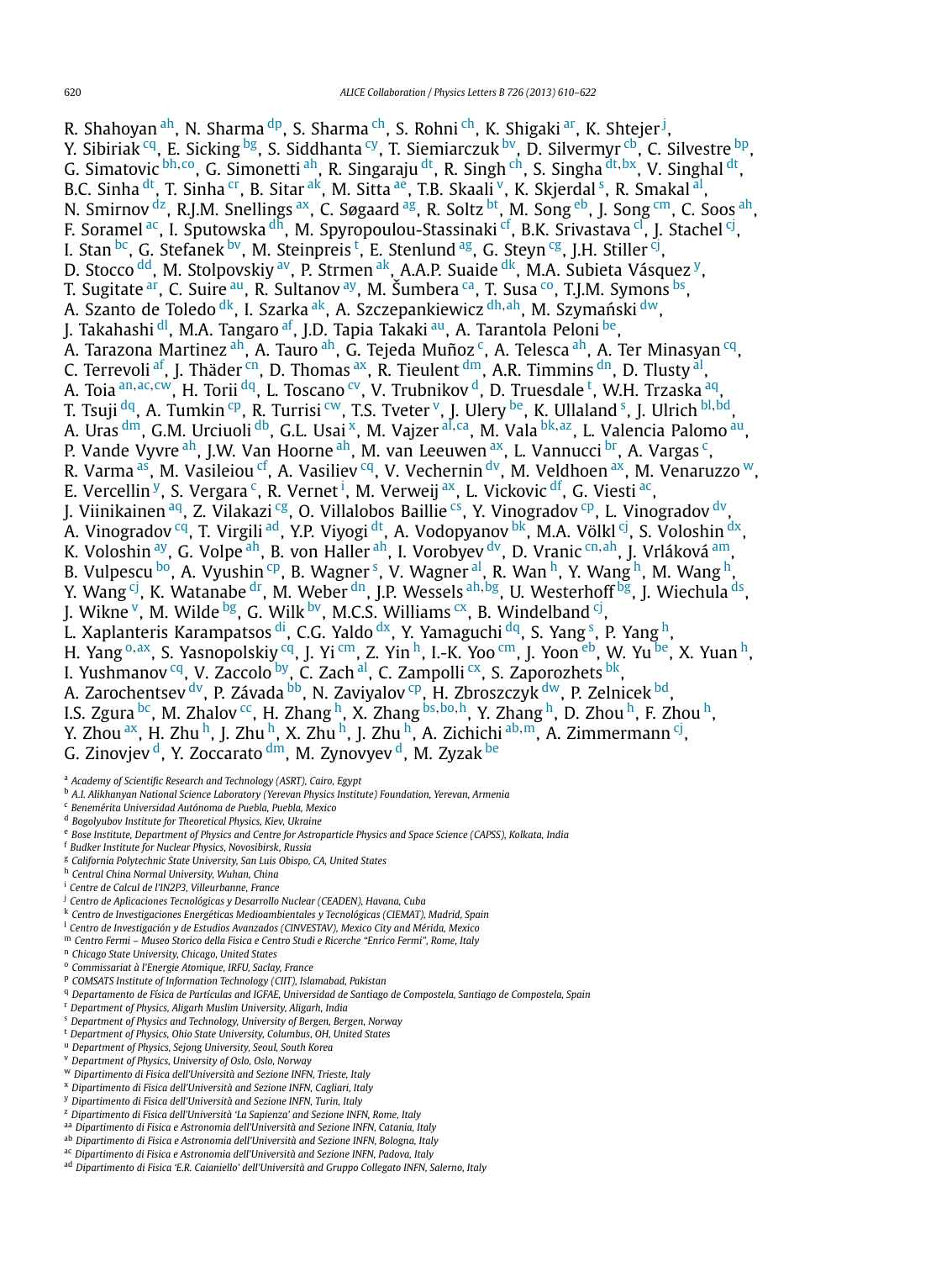<span id="page-10-0"></span>R. Shahoyan <sup>ah</sup>, N. Sharma <sup>dp</sup>, S. Sharma <sup>ch</sup>, S. Rohni <sup>ch</sup>, K. Shigaki <sup>ar</sup>, K. Shtejer <sup>j</sup>, Y. Sibiriak <sup>cq</sup>, E. Sicking <sup>bg</sup>, S. Siddhanta <sup>cy</sup>, T. Siemiarczuk <sup>bv</sup>, D. Silvermyr <sup>cb</sup>, C. Silvestre <sup>bp</sup>, G. Simatovic [bh](#page-11-0)*,*[co,](#page-11-0) G. Simonetti [ah,](#page-11-0) R. Singaraju [dt,](#page-12-0) R. Singh [ch,](#page-11-0) S. Singha [dt](#page-12-0)*,*[bx,](#page-11-0) V. Singhal [dt,](#page-12-0) B.C. Sinha <sup>dt</sup>, T. Sinha <sup>cr</sup>, B. Sitar <sup>ak</sup>, M. Sitta <sup>ae</sup>, T.B. Skaali <sup>v</sup>, K. Skjerdal <sup>s</sup>, R. Smakal <sup>al</sup>, N. Smirnov [dz,](#page-12-0) R.J.M. Snellings [ax](#page-11-0), C. Søgaard [ag,](#page-11-0) R. Soltz [bt,](#page-11-0) M. Song [eb,](#page-12-0) J. Song [cm,](#page-11-0) C. Soos [ah,](#page-11-0) F. Soramel ac, I. Sputowska [dh,](#page-12-0) M. Spyropoulou-Stassinaki [cf,](#page-11-0) B.K. Srivastava [cl,](#page-11-0) J. Stachel [cj,](#page-11-0) I. Stan <sup>bc</sup>, G. Stefanek <sup>[bv](#page-11-0)</sup>, M. Steinpreis <sup>t</sup>, E. Stenlund <sup>ag</sup>, G. Steyn <sup>cg</sup>, J.H. Stiller <sup>cj</sup>, D. Stocco <sup>dd</sup>, M. Stolpovskiy [av,](#page-11-0) P. Strmen [ak,](#page-11-0) A.A.P. Suaide <sup>dk</sup>, M.A. Subieta Vásquez <sup>y</sup>, T. Sugitate [ar,](#page-11-0) C. Suire [au,](#page-11-0) R. Sultanov [ay,](#page-11-0) M. Šumbera <sup>ca</sup>, T. Susa <sup>co</sup>, T.J.M. Symons <sup>bs</sup>, A. Szanto de Toledo <sup>dk</sup>, I. Szarka <sup>[ak](#page-11-0)</sup>, A. Szczepankiewicz <sup>[dh](#page-12-0), ah</sup>, M. Szymański <sup>dw</sup>, J. Takahashi <sup>dl</sup>, M.A. Tangaro <sup>af</sup>, J.D. Tapia Takaki <sup>au</sup>, A. Tarantola Peloni <sup>be</sup>, A. Tarazona Martinez <sup>ah</sup>, A. Tauro <sup>ah</sup>, G. Tejeda Muñoz <sup>c</sup>, A. Telesca <sup>ah</sup>, A. Ter Minasyan <sup>[cq](#page-11-0)</sup>, C. Terrevoli <sup>af</sup>, J. Thäder <sup>cn</sup>, D. Thomas <sup>[ax](#page-11-0)</sup>, R. Tieulent <sup>dm</sup>, A.R. Timmins <sup>dn</sup>, D. Tlusty <sup>al</sup>, A. Toia <sup>[an](#page-11-0),ac,cw</sup>, H. Torii <sup>dq</sup>, L. Toscano <sup>cv</sup>, V. Trubnikov <sup>d</sup>, D. Truesdale <sup>t</sup>, W.H. Trzaska <sup>aq</sup>, T. Tsuji <sup>[dq](#page-12-0)</sup>, A. Tumkin <sup>cp</sup>, R. Turrisi <sup>cw</sup>, T.S. Tveter <sup>v</sup>, J. Ulery <sup>be</sup>, K. Ullaland <sup>s</sup>, J. Ulrich <sup>[bl](#page-11-0),bd</sup>, A. Uras [dm,](#page-12-0) G.M. Urciuoli [db,](#page-11-0) G.L. Usai <sup>x</sup>, M. Vajzer [al](#page-11-0), [ca,](#page-11-0) M. Vala [bk](#page-11-0), [az,](#page-11-0) L. Valencia Palomo [au,](#page-11-0) P. Vande Vyvre <sup>ah</sup>, J.W. Van Hoorne <sup>ah</sup>, M. van Leeuwen <sup>ax</sup>, L. Vannucci <sup>br</sup>, A. Vargas <sup>c</sup>, R. Varma [as,](#page-11-0) M. Vasileiou <sup>cf</sup>, A. Vasiliev <sup>cq</sup>, V. Vechernin [dv,](#page-12-0) M. Veldhoen [ax,](#page-11-0) M. Venaruzzo <sup>w</sup>, E. Vercellin <sup>y</sup>, S. Vergara <sup>c</sup>, R. Vernet <sup>i</sup>, M. Verweij <sup>ax</sup>, L. Vickovic <sup>df</sup>, G. Viesti <sup>ac</sup>, J. Viinikainen <sup>aq</sup>, Z. Vilakazi <sup>cg</sup>, O. Villalobos Baillie <sup>cs</sup>, Y. Vinogradov <sup>cp</sup>, L. Vinogradov <sup>dv</sup>, A. Vinogradov <sup>cq</sup>, T. Virgili <sup>ad</sup>, Y.P. Viyogi <sup>dt</sup>, A. Vodopyanov <sup>bk</sup>, M.A. Völkl<sup>cj</sup>, S. Voloshin <sup>[dx](#page-12-0)</sup>, K. Voloshin [ay,](#page-11-0) G. Volpe [ah,](#page-11-0) B. von Haller [ah](#page-11-0), I. Vorobyev [dv,](#page-12-0) D. Vranic [cn](#page-11-0)*,*[ah,](#page-11-0) J. Vrláková [am,](#page-11-0) B. Vulpescu <sup>bo</sup>, A. Vyushin <sup>cp</sup>, B. Wagner <sup>s</sup>, V. Wagner <sup>al</sup>, R. Wan <sup>h</sup>, Y. Wang <sup>h</sup>, M. Wang <sup>h</sup>, Y. Wang [cj,](#page-11-0) K. Watanabe [dr,](#page-12-0) M. Weber [dn,](#page-12-0) J.P. Wessels [ah](#page-11-0)*,*[bg](#page-11-0), U. Westerhoff [bg](#page-11-0), J. Wiechula [ds,](#page-12-0) J. Wikne  $\overline{v}$ , M. Wilde  $\overline{b}$ g, G. Wilk  $\overline{b}v$ , M.C.S. Williams  $\overline{c}x$ , B. Windelband  $\overline{c}$ j, L. Xaplanteris Karampatsos <sup>[di](#page-12-0)</sup>, C.G. Yaldo <sup>dx</sup>, Y. Yamaguchi <sup>dq</sup>, S. Yang <sup>s</sup>, P. Yang <sup>h</sup>, H. Yang <sup>o</sup>*,*[ax,](#page-11-0) S. Yasnopolskiy [cq,](#page-11-0) J. Yi [cm,](#page-11-0) Z. Yin h, I.-K. Yoo [cm,](#page-11-0) J. Yoon [eb,](#page-12-0) W. Yu [be,](#page-11-0) X. Yuan h, I. Yushmanov <sup>[cq](#page-11-0)</sup>, V. Zaccolo <sup>by</sup>, C. Zach <sup>al</sup>, C. Zampolli <sup>cx</sup>, S. Zaporozhets <sup>bk</sup>, A. Zarochentsev<sup>dv</sup>, P. Závada [bb](#page-11-0), N. Zaviyalov <sup>cp</sup>, H. Zbroszczyk <sup>dw</sup>, P. Zelnicek [bd,](#page-11-0) I.S. Zgura <sup>bc</sup>, M. Zhalov <sup>cc</sup>, H. Zhang <sup>h</sup>, X. Zhang <sup>[bs](#page-11-0),[bo](#page-11-0),h</sup>, Y. Zhang <sup>h</sup>, D. Zhou <sup>h</sup>, F. Zhou <sup>h</sup>, Y. Zhou <sup>ax</sup>, H. Zhu <sup>h</sup>, J. Zhu <sup>h</sup>, X. Zhu <sup>h</sup>, J. Zhu <sup>h</sup>, A. Zichichi <sup>ab,m</sup>, A. Zimmermann <sup>cj</sup>, G. Zinovjev <sup>d</sup>, Y. Zoccarato <sup>dm</sup>, M. Zynovyev <sup>d</sup>, M. Zyzak <sup>[be](#page-11-0)</sup>

- <sup>a</sup> *Academy of Scientific Research and Technology (ASRT), Cairo, Egypt*
- <sup>b</sup> *A.I. Alikhanyan National Science Laboratory (Yerevan Physics Institute) Foundation, Yerevan, Armenia*
- <sup>c</sup> *Benemérita Universidad Autónoma de Puebla, Puebla, Mexico*
- <sup>d</sup> *Bogolyubov Institute for Theoretical Physics, Kiev, Ukraine*
- <sup>e</sup> *Bose Institute, Department of Physics and Centre for Astroparticle Physics and Space Science (CAPSS), Kolkata, India*
- <sup>f</sup> *Budker Institute for Nuclear Physics, Novosibirsk, Russia*
- <sup>g</sup> *California Polytechnic State University, San Luis Obispo, CA, United States*
- <sup>h</sup> *Central China Normal University, Wuhan, China*
- <sup>i</sup> *Centre de Calcul de l'IN2P3, Villeurbanne, France*
- <sup>j</sup> *Centro de Aplicaciones Tecnológicas y Desarrollo Nuclear (CEADEN), Havana, Cuba*
- <sup>k</sup> *Centro de Investigaciones Energéticas Medioambientales y Tecnológicas (CIEMAT), Madrid, Spain*
- <sup>l</sup> *Centro de Investigación y de Estudios Avanzados (CINVESTAV), Mexico City and Mérida, Mexico*
- <sup>m</sup> *Centro Fermi Museo Storico della Fisica e Centro Studi e Ricerche "Enrico Fermi", Rome, Italy*
- <sup>n</sup> *Chicago State University, Chicago, United States*
- <sup>o</sup> *Commissariat à l'Energie Atomique, IRFU, Saclay, France*
- <sup>p</sup> *COMSATS Institute of Information Technology (CIIT), Islamabad, Pakistan*
- <sup>q</sup> *Departamento de Física de Partículas and IGFAE, Universidad de Santiago de Compostela, Santiago de Compostela, Spain*
- <sup>r</sup> *Department of Physics, Aligarh Muslim University, Aligarh, India*
- <sup>s</sup> *Department of Physics and Technology, University of Bergen, Bergen, Norway*
- <sup>t</sup> *Department of Physics, Ohio State University, Columbus, OH, United States*
- <sup>u</sup> *Department of Physics, Sejong University, Seoul, South Korea*
- <sup>v</sup> *Department of Physics, University of Oslo, Oslo, Norway*
- <sup>w</sup> *Dipartimento di Fisica dell'Università and Sezione INFN, Trieste, Italy*
- <sup>x</sup> *Dipartimento di Fisica dell'Università and Sezione INFN, Cagliari, Italy*
- <sup>y</sup> *Dipartimento di Fisica dell'Università and Sezione INFN, Turin, Italy*
- <sup>z</sup> *Dipartimento di Fisica dell'Università 'La Sapienza' and Sezione INFN, Rome, Italy*
- aa *Dipartimento di Fisica e Astronomia dell'Università and Sezione INFN, Catania, Italy*
- ab *Dipartimento di Fisica e Astronomia dell'Università and Sezione INFN, Bologna, Italy*
- ac *Dipartimento di Fisica e Astronomia dell'Università and Sezione INFN, Padova, Italy*
- ad *Dipartimento di Fisica 'E.R. Caianiello' dell'Università and Gruppo Collegato INFN, Salerno, Italy*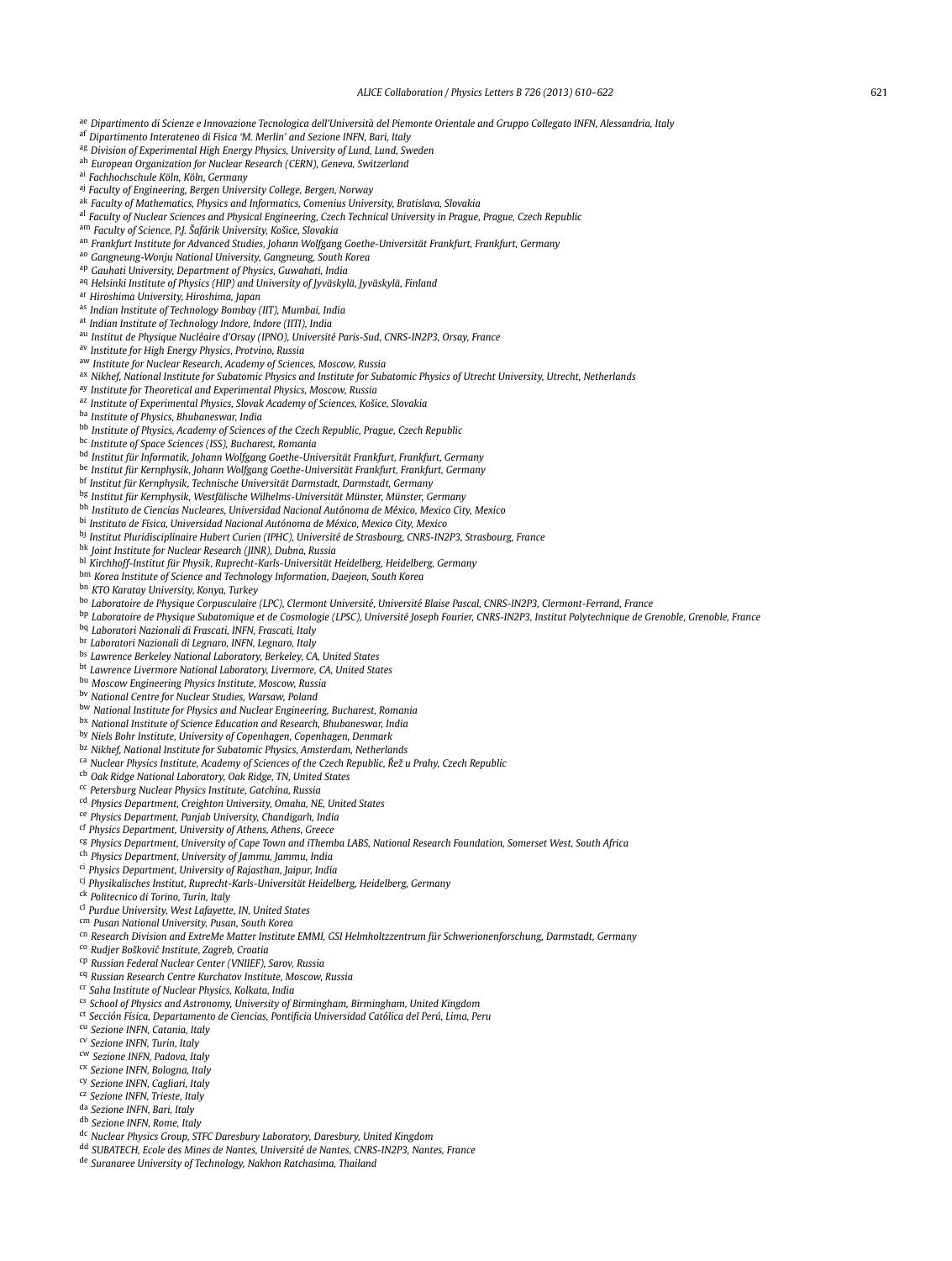<span id="page-11-0"></span>ae *Dipartimento di Scienze e Innovazione Tecnologica dell'Università del Piemonte Orientale and Gruppo Collegato INFN, Alessandria, Italy* af *Dipartimento Interateneo di Fisica 'M. Merlin' and Sezione INFN, Bari, Italy* ag *Division of Experimental High Energy Physics, University of Lund, Lund, Sweden* ah *European Organization for Nuclear Research (CERN), Geneva, Switzerland* ai *Fachhochschule Köln, Köln, Germany* aj *Faculty of Engineering, Bergen University College, Bergen, Norway* ak *Faculty of Mathematics, Physics and Informatics, Comenius University, Bratislava, Slovakia* al *Faculty of Nuclear Sciences and Physical Engineering, Czech Technical University in Prague, Prague, Czech Republic* am *Faculty of Science, P.J. Šafárik University, Košice, Slovakia* an *Frankfurt Institute for Advanced Studies, Johann Wolfgang Goethe-Universität Frankfurt, Frankfurt, Germany* ao *Gangneung-Wonju National University, Gangneung, South Korea* ap *Gauhati University, Department of Physics, Guwahati, India* aq *Helsinki Institute of Physics (HIP) and University of Jyväskylä, Jyväskylä, Finland* ar *Hiroshima University, Hiroshima, Japan* as *Indian Institute of Technology Bombay (IIT), Mumbai, India* at *Indian Institute of Technology Indore, Indore (IITI), India* au *Institut de Physique Nucléaire d'Orsay (IPNO), Université Paris-Sud, CNRS-IN2P3, Orsay, France* av *Institute for High Energy Physics, Protvino, Russia* aw *Institute for Nuclear Research, Academy of Sciences, Moscow, Russia* ax *Nikhef, National Institute for Subatomic Physics and Institute for Subatomic Physics of Utrecht University, Utrecht, Netherlands* ay *Institute for Theoretical and Experimental Physics, Moscow, Russia* az *Institute of Experimental Physics, Slovak Academy of Sciences, Košice, Slovakia* ba *Institute of Physics, Bhubaneswar, India* bb *Institute of Physics, Academy of Sciences of the Czech Republic, Prague, Czech Republic* bc *Institute of Space Sciences (ISS), Bucharest, Romania* bd *Institut für Informatik, Johann Wolfgang Goethe-Universität Frankfurt, Frankfurt, Germany* be *Institut für Kernphysik, Johann Wolfgang Goethe-Universität Frankfurt, Frankfurt, Germany* bf *Institut für Kernphysik, Technische Universität Darmstadt, Darmstadt, Germany* bg *Institut für Kernphysik, Westfälische Wilhelms-Universität Münster, Münster, Germany* bh *Instituto de Ciencias Nucleares, Universidad Nacional Autónoma de México, Mexico City, Mexico* bi *Instituto de Física, Universidad Nacional Autónoma de México, Mexico City, Mexico* bj *Institut Pluridisciplinaire Hubert Curien (IPHC), Université de Strasbourg, CNRS-IN2P3, Strasbourg, France* bk *Joint Institute for Nuclear Research (JINR), Dubna, Russia* bl *Kirchhoff-Institut für Physik, Ruprecht-Karls-Universität Heidelberg, Heidelberg, Germany* bm *Korea Institute of Science and Technology Information, Daejeon, South Korea* bn *KTO Karatay University, Konya, Turkey* bo *Laboratoire de Physique Corpusculaire (LPC), Clermont Université, Université Blaise Pascal, CNRS-IN2P3, Clermont-Ferrand, France* bp *Laboratoire de Physique Subatomique et de Cosmologie (LPSC), Université Joseph Fourier, CNRS-IN2P3, Institut Polytechnique de Grenoble, Grenoble, France* bq *Laboratori Nazionali di Frascati, INFN, Frascati, Italy* br *Laboratori Nazionali di Legnaro, INFN, Legnaro, Italy* bs *Lawrence Berkeley National Laboratory, Berkeley, CA, United States* bt *Lawrence Livermore National Laboratory, Livermore, CA, United States* bu *Moscow Engineering Physics Institute, Moscow, Russia* bv *National Centre for Nuclear Studies, Warsaw, Poland* bw *National Institute for Physics and Nuclear Engineering, Bucharest, Romania* bx *National Institute of Science Education and Research, Bhubaneswar, India* by *Niels Bohr Institute, University of Copenhagen, Copenhagen, Denmark* bz *Nikhef, National Institute for Subatomic Physics, Amsterdam, Netherlands* ca *Nuclear Physics Institute, Academy of Sciences of the Czech Republic, Rež u Prahy, Czech Republic ˇ* cb *Oak Ridge National Laboratory, Oak Ridge, TN, United States* cc *Petersburg Nuclear Physics Institute, Gatchina, Russia* cd *Physics Department, Creighton University, Omaha, NE, United States* ce *Physics Department, Panjab University, Chandigarh, India* cf *Physics Department, University of Athens, Athens, Greece* cg *Physics Department, University of Cape Town and iThemba LABS, National Research Foundation, Somerset West, South Africa* ch *Physics Department, University of Jammu, Jammu, India* ci *Physics Department, University of Rajasthan, Jaipur, India* cj *Physikalisches Institut, Ruprecht-Karls-Universität Heidelberg, Heidelberg, Germany* ck *Politecnico di Torino, Turin, Italy* cl *Purdue University, West Lafayette, IN, United States* cm *Pusan National University, Pusan, South Korea* cn *Research Division and ExtreMe Matter Institute EMMI, GSI Helmholtzzentrum für Schwerionenforschung, Darmstadt, Germany* co *Rudjer Boškovi´c Institute, Zagreb, Croatia* cp *Russian Federal Nuclear Center (VNIIEF), Sarov, Russia*

- cq *Russian Research Centre Kurchatov Institute, Moscow, Russia*
- cr *Saha Institute of Nuclear Physics, Kolkata, India*
- cs *School of Physics and Astronomy, University of Birmingham, Birmingham, United Kingdom*
- ct *Sección Física, Departamento de Ciencias, Pontificia Universidad Católica del Perú, Lima, Peru*
- cu *Sezione INFN, Catania, Italy*
- cv *Sezione INFN, Turin, Italy*
- cw *Sezione INFN, Padova, Italy*
- cx *Sezione INFN, Bologna, Italy*
- cy *Sezione INFN, Cagliari, Italy*
- cz *Sezione INFN, Trieste, Italy*
- da *Sezione INFN, Bari, Italy*
- db *Sezione INFN, Rome, Italy*
- dc *Nuclear Physics Group, STFC Daresbury Laboratory, Daresbury, United Kingdom*
- dd *SUBATECH, Ecole des Mines de Nantes, Université de Nantes, CNRS-IN2P3, Nantes, France*
- de *Suranaree University of Technology, Nakhon Ratchasima, Thailand*